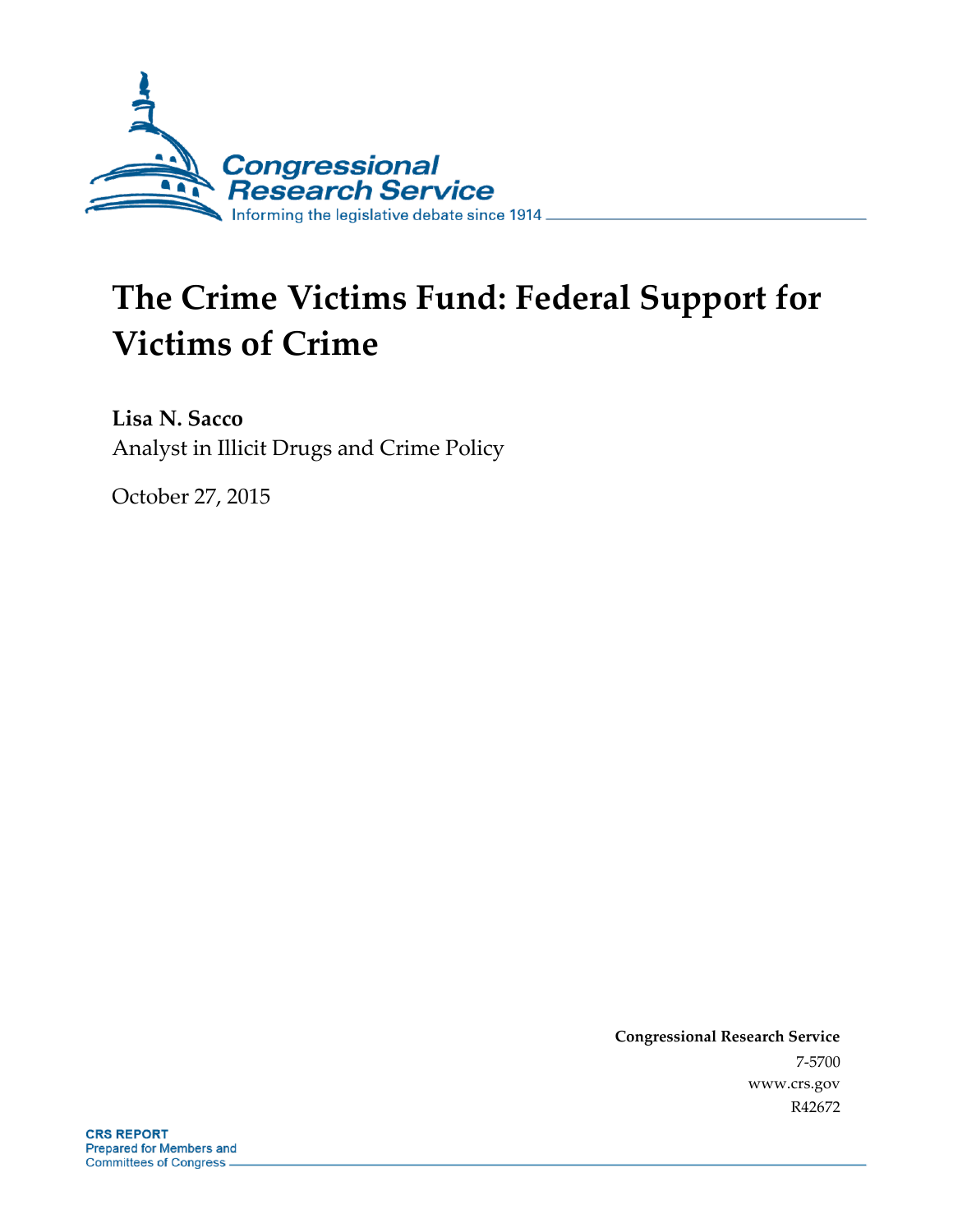

# **The Crime Victims Fund: Federal Support for Victims of Crime**

**Lisa N. Sacco** Analyst in Illicit Drugs and Crime Policy

October 27, 2015

**Congressional Research Service** 7-5700 www.crs.gov R42672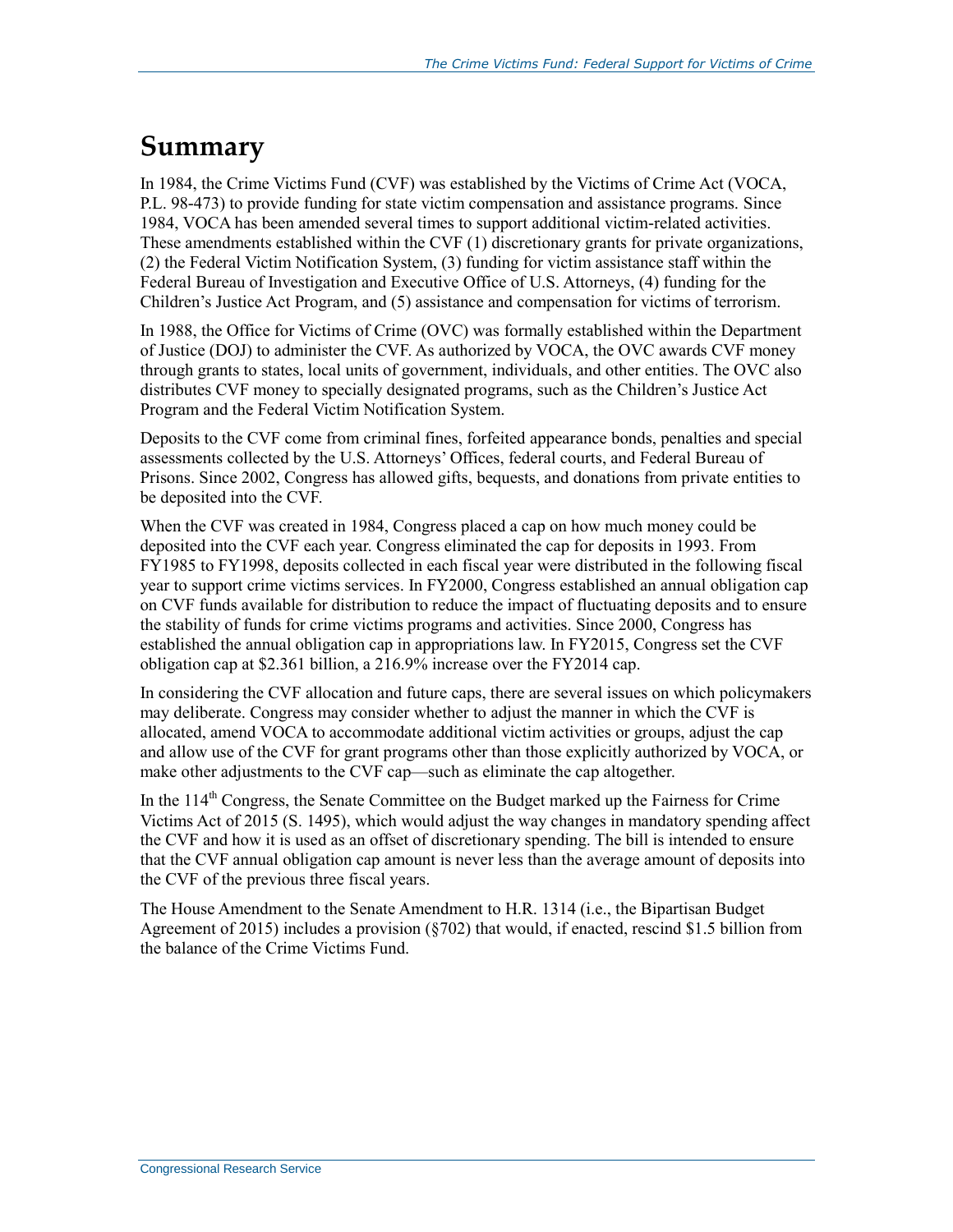## **Summary**

In 1984, the Crime Victims Fund (CVF) was established by the Victims of Crime Act (VOCA, P.L. 98-473) to provide funding for state victim compensation and assistance programs. Since 1984, VOCA has been amended several times to support additional victim-related activities. These amendments established within the CVF (1) discretionary grants for private organizations, (2) the Federal Victim Notification System, (3) funding for victim assistance staff within the Federal Bureau of Investigation and Executive Office of U.S. Attorneys, (4) funding for the Children's Justice Act Program, and (5) assistance and compensation for victims of terrorism.

In 1988, the Office for Victims of Crime (OVC) was formally established within the Department of Justice (DOJ) to administer the CVF. As authorized by VOCA, the OVC awards CVF money through grants to states, local units of government, individuals, and other entities. The OVC also distributes CVF money to specially designated programs, such as the Children's Justice Act Program and the Federal Victim Notification System.

Deposits to the CVF come from criminal fines, forfeited appearance bonds, penalties and special assessments collected by the U.S. Attorneys' Offices, federal courts, and Federal Bureau of Prisons. Since 2002, Congress has allowed gifts, bequests, and donations from private entities to be deposited into the CVF.

When the CVF was created in 1984, Congress placed a cap on how much money could be deposited into the CVF each year. Congress eliminated the cap for deposits in 1993. From FY1985 to FY1998, deposits collected in each fiscal year were distributed in the following fiscal year to support crime victims services. In FY2000, Congress established an annual obligation cap on CVF funds available for distribution to reduce the impact of fluctuating deposits and to ensure the stability of funds for crime victims programs and activities. Since 2000, Congress has established the annual obligation cap in appropriations law. In FY2015, Congress set the CVF obligation cap at \$2.361 billion, a 216.9% increase over the FY2014 cap.

In considering the CVF allocation and future caps, there are several issues on which policymakers may deliberate. Congress may consider whether to adjust the manner in which the CVF is allocated, amend VOCA to accommodate additional victim activities or groups, adjust the cap and allow use of the CVF for grant programs other than those explicitly authorized by VOCA, or make other adjustments to the CVF cap—such as eliminate the cap altogether.

In the  $114<sup>th</sup>$  Congress, the Senate Committee on the Budget marked up the Fairness for Crime Victims Act of 2015 (S. 1495), which would adjust the way changes in mandatory spending affect the CVF and how it is used as an offset of discretionary spending. The bill is intended to ensure that the CVF annual obligation cap amount is never less than the average amount of deposits into the CVF of the previous three fiscal years.

The House Amendment to the Senate Amendment to H.R. 1314 (i.e., the Bipartisan Budget Agreement of 2015) includes a provision  $(\frac{8702}{\lambda})$  that would, if enacted, rescind \$1.5 billion from the balance of the Crime Victims Fund.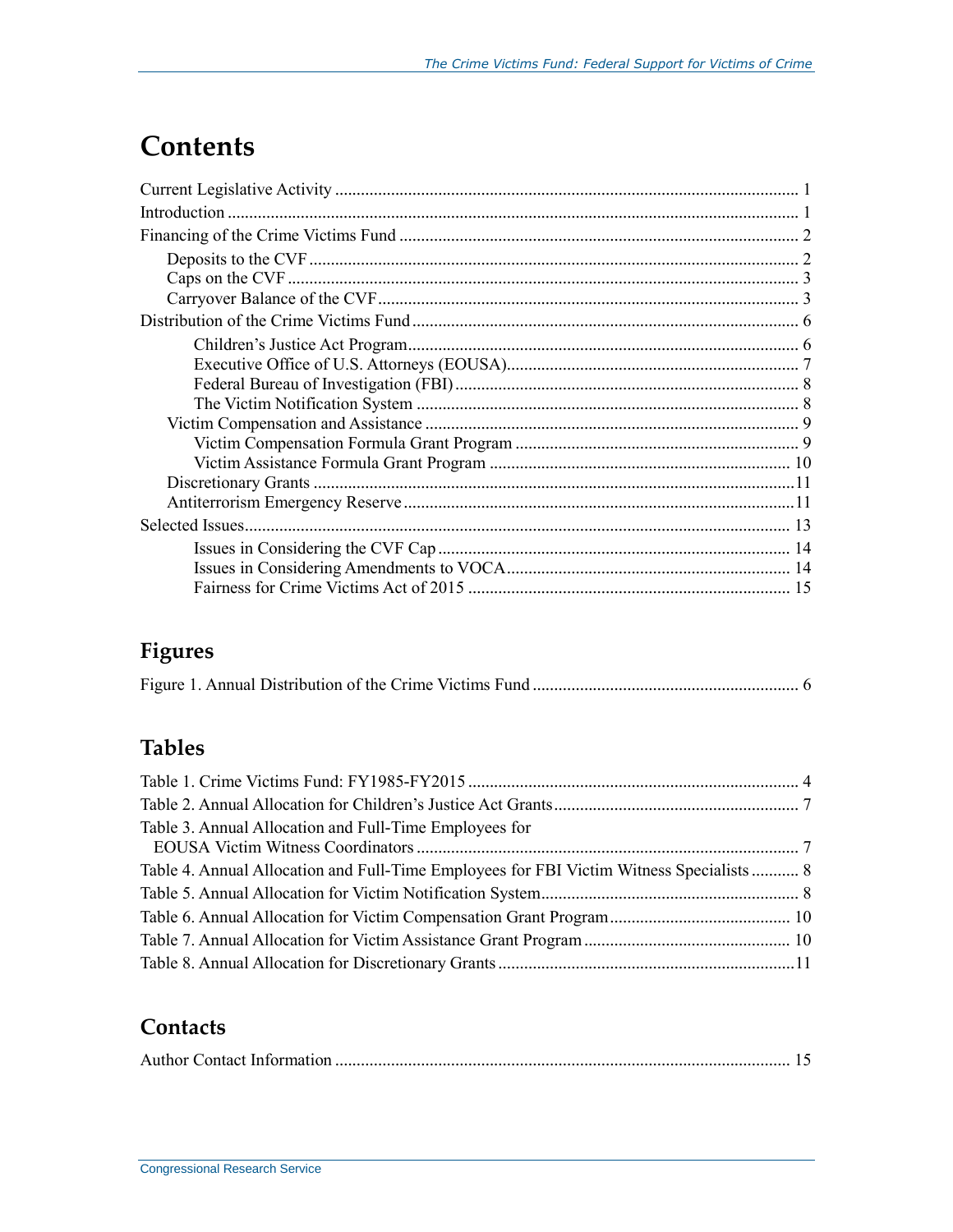## **Contents**

## **Figures**

|--|--|

## **Tables**

| Table 3. Annual Allocation and Full-Time Employees for                                   |  |
|------------------------------------------------------------------------------------------|--|
|                                                                                          |  |
| Table 4. Annual Allocation and Full-Time Employees for FBI Victim Witness Specialists  8 |  |
|                                                                                          |  |
|                                                                                          |  |
|                                                                                          |  |
|                                                                                          |  |

### **Contacts**

|--|--|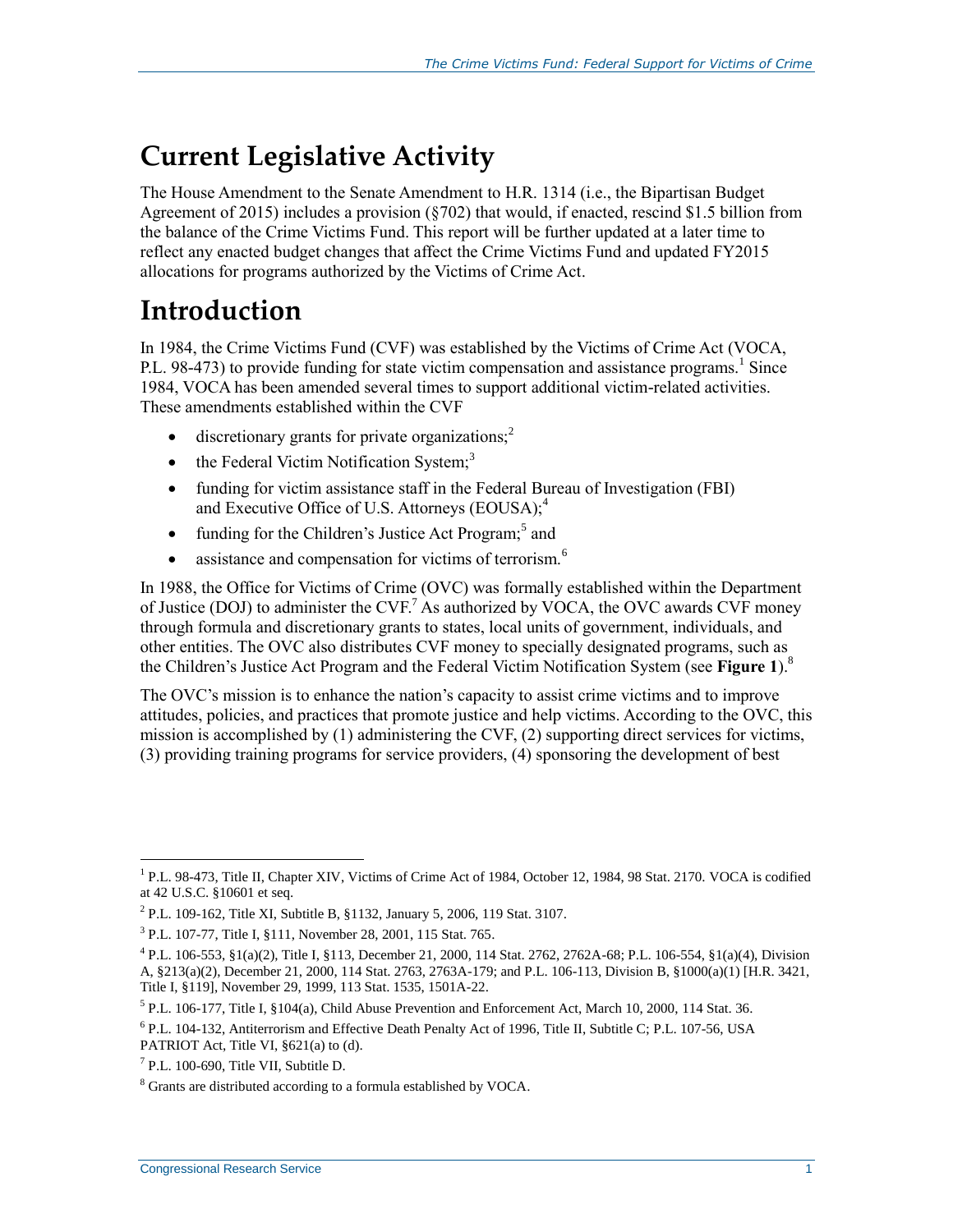## **Current Legislative Activity**

The House Amendment to the Senate Amendment to H.R. 1314 (i.e., the Bipartisan Budget Agreement of 2015) includes a provision (§702) that would, if enacted, rescind \$1.5 billion from the balance of the Crime Victims Fund. This report will be further updated at a later time to reflect any enacted budget changes that affect the Crime Victims Fund and updated FY2015 allocations for programs authorized by the Victims of Crime Act.

## **Introduction**

In 1984, the Crime Victims Fund (CVF) was established by the Victims of Crime Act (VOCA, P.L. 98-473) to provide funding for state victim compensation and assistance programs.<sup>1</sup> Since 1984, VOCA has been amended several times to support additional victim-related activities. These amendments established within the CVF

- $\bullet$  discretionary grants for private organizations;<sup>2</sup>
- $\bullet$  the Federal Victim Notification System;<sup>3</sup>
- funding for victim assistance staff in the Federal Bureau of Investigation (FBI) and Executive Office of U.S. Attorneys (EOUSA);<sup>4</sup>
- $\bullet$  funding for the Children's Justice Act Program;<sup>5</sup> and
- assistance and compensation for victims of terrorism. $<sup>6</sup>$ </sup>

In 1988, the Office for Victims of Crime (OVC) was formally established within the Department of Justice (DOJ) to administer the  $CVF$ <sup>7</sup> As authorized by VOCA, the OVC awards  $CVF$  money through formula and discretionary grants to states, local units of government, individuals, and other entities. The OVC also distributes CVF money to specially designated programs, such as the Children's Justice Act Program and the Federal Victim Notification System (see **[Figure 1](#page-8-0)**). 8

The OVC's mission is to enhance the nation's capacity to assist crime victims and to improve attitudes, policies, and practices that promote justice and help victims. According to the OVC, this mission is accomplished by (1) administering the CVF, (2) supporting direct services for victims, (3) providing training programs for service providers, (4) sponsoring the development of best

<sup>&</sup>lt;sup>1</sup> P.L. 98-473, Title II, Chapter XIV, Victims of Crime Act of 1984, October 12, 1984, 98 Stat. 2170. VOCA is codified at 42 U.S.C. §10601 et seq.

<sup>&</sup>lt;sup>2</sup> P.L. 109-162, Title XI, Subtitle B, §1132, January 5, 2006, 119 Stat. 3107.

<sup>&</sup>lt;sup>3</sup> P.L. 107-77, Title I, §111, November 28, 2001, 115 Stat. 765.

<sup>4</sup> P.L. 106-553, §1(a)(2), Title I, §113, December 21, 2000, 114 Stat. 2762, 2762A-68; P.L. 106-554, §1(a)(4), Division A, §213(a)(2), December 21, 2000, 114 Stat. 2763, 2763A-179; and P.L. 106-113, Division B, §1000(a)(1) [H.R. 3421, Title I, §119], November 29, 1999, 113 Stat. 1535, 1501A-22.

 $^5$  P.L. 106-177, Title I, §104(a), Child Abuse Prevention and Enforcement Act, March 10, 2000, 114 Stat. 36.

<sup>&</sup>lt;sup>6</sup> P.L. 104-132, Antiterrorism and Effective Death Penalty Act of 1996, Title II, Subtitle C; P.L. 107-56, USA PATRIOT Act, Title VI, §621(a) to (d).

<sup>7</sup> P.L. 100-690, Title VII, Subtitle D.

<sup>8</sup> Grants are distributed according to a formula established by VOCA.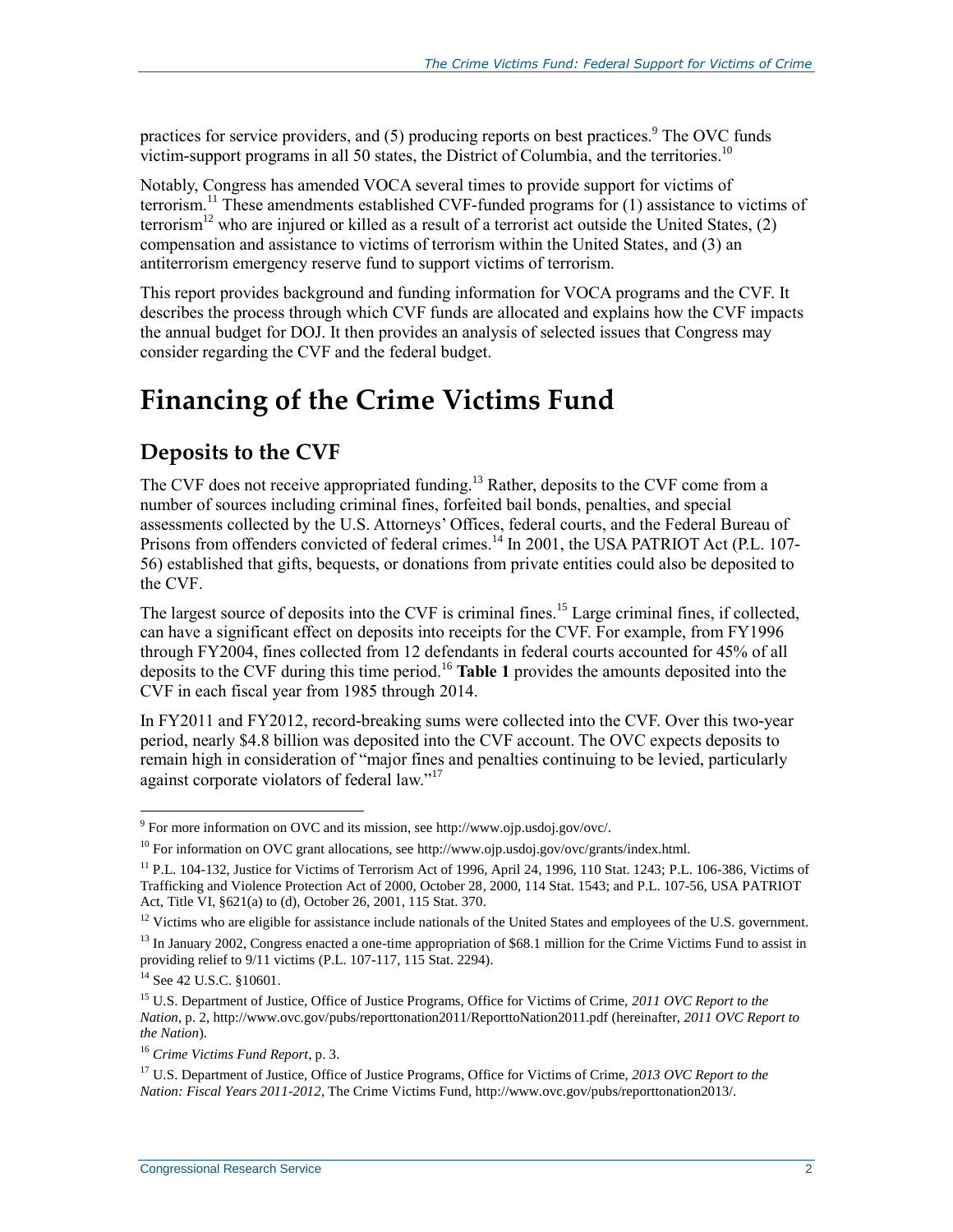practices for service providers, and  $(5)$  producing reports on best practices.<sup>9</sup> The OVC funds victim-support programs in all 50 states, the District of Columbia, and the territories. 10

Notably, Congress has amended VOCA several times to provide support for victims of terrorism.<sup>11</sup> These amendments established CVF-funded programs for (1) assistance to victims of terrorism<sup>12</sup> who are injured or killed as a result of a terrorist act outside the United States,  $(2)$ compensation and assistance to victims of terrorism within the United States, and (3) an antiterrorism emergency reserve fund to support victims of terrorism.

This report provides background and funding information for VOCA programs and the CVF. It describes the process through which CVF funds are allocated and explains how the CVF impacts the annual budget for DOJ. It then provides an analysis of selected issues that Congress may consider regarding the CVF and the federal budget.

## **Financing of the Crime Victims Fund**

### **Deposits to the CVF**

The CVF does not receive appropriated funding.<sup>13</sup> Rather, deposits to the CVF come from a number of sources including criminal fines, forfeited bail bonds, penalties, and special assessments collected by the U.S. Attorneys' Offices, federal courts, and the Federal Bureau of Prisons from offenders convicted of federal crimes.<sup>14</sup> In 2001, the USA PATRIOT Act (P.L. 107-56) established that gifts, bequests, or donations from private entities could also be deposited to the CVF.

The largest source of deposits into the CVF is criminal fines.<sup>15</sup> Large criminal fines, if collected, can have a significant effect on deposits into receipts for the CVF. For example, from FY1996 through FY2004, fines collected from 12 defendants in federal courts accounted for 45% of all deposits to the CVF during this time period.<sup>16</sup> **[Table 1](#page-6-0)** provides the amounts deposited into the CVF in each fiscal year from 1985 through 2014.

In FY2011 and FY2012, record-breaking sums were collected into the CVF. Over this two-year period, nearly \$4.8 billion was deposited into the CVF account. The OVC expects deposits to remain high in consideration of "major fines and penalties continuing to be levied, particularly against corporate violators of federal law."<sup>17</sup>

<sup>&</sup>lt;sup>9</sup> For more information on OVC and its mission, see http://www.ojp.usdoj.gov/ovc/.

 $10$  For information on OVC grant allocations, see http://www.ojp.usdoj.gov/ovc/grants/index.html.

<sup>11</sup> P.L. 104-132, Justice for Victims of Terrorism Act of 1996, April 24, 1996, 110 Stat. 1243; P.L. 106-386, Victims of Trafficking and Violence Protection Act of 2000, October 28, 2000, 114 Stat. 1543; and P.L. 107-56, USA PATRIOT Act, Title VI, §621(a) to (d), October 26, 2001, 115 Stat. 370.

 $12$  Victims who are eligible for assistance include nationals of the United States and employees of the U.S. government.

<sup>&</sup>lt;sup>13</sup> In January 2002, Congress enacted a one-time appropriation of \$68.1 million for the Crime Victims Fund to assist in providing relief to 9/11 victims (P.L. 107-117, 115 Stat. 2294).

<sup>&</sup>lt;sup>14</sup> See 42 U.S.C. §10601.

<sup>15</sup> U.S. Department of Justice, Office of Justice Programs, Office for Victims of Crime, *2011 OVC Report to the Nation*, p. 2, http://www.ovc.gov/pubs/reporttonation2011/ReporttoNation2011.pdf (hereinafter, *2011 OVC Report to the Nation*).

<sup>16</sup> *Crime Victims Fund Report*, p. 3.

<sup>17</sup> U.S. Department of Justice, Office of Justice Programs, Office for Victims of Crime, *2013 OVC Report to the Nation: Fiscal Years 2011-2012*, The Crime Victims Fund, http://www.ovc.gov/pubs/reporttonation2013/.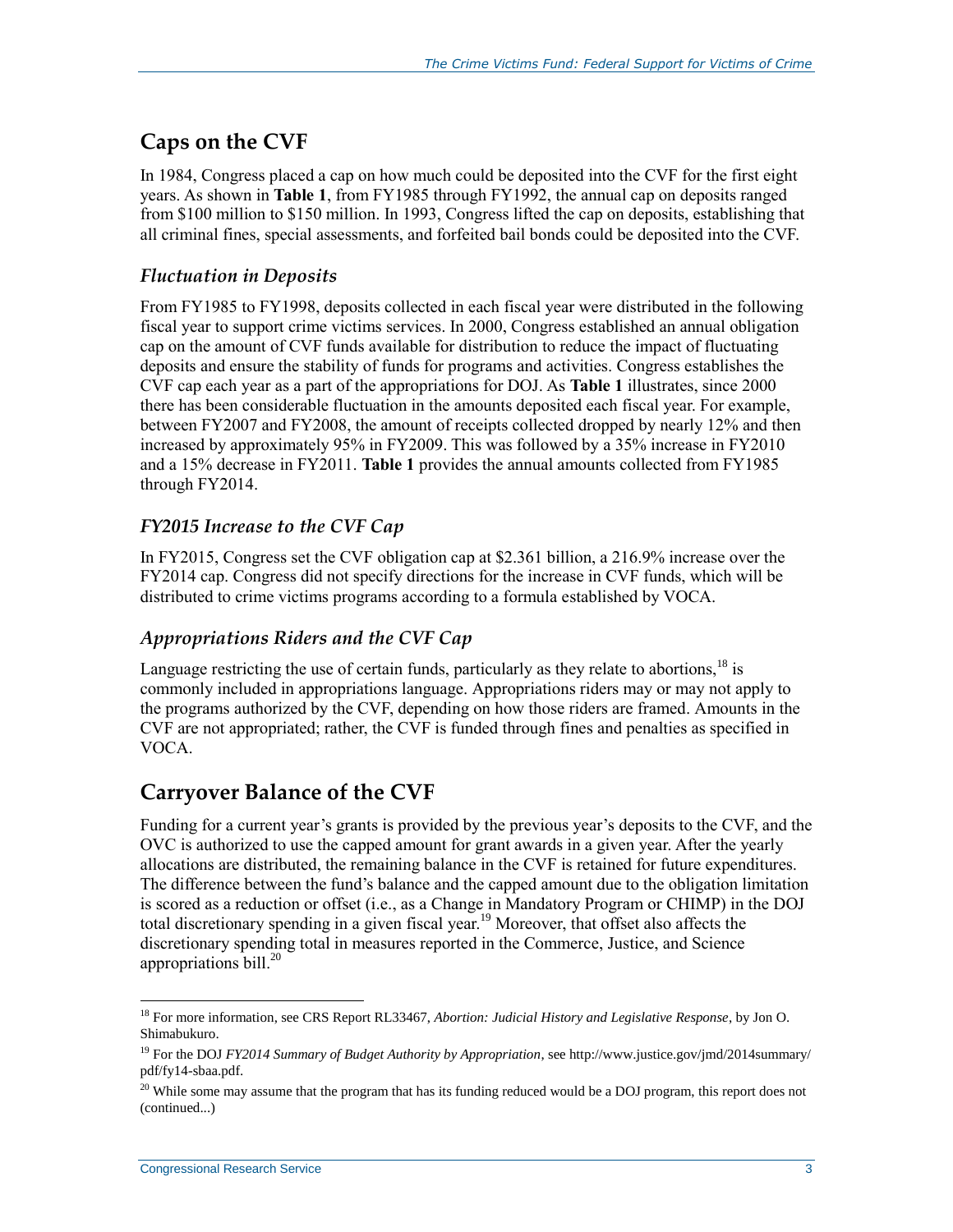### **Caps on the CVF**

In 1984, Congress placed a cap on how much could be deposited into the CVF for the first eight years. As shown in **[Table 1](#page-6-0)**, from FY1985 through FY1992, the annual cap on deposits ranged from \$100 million to \$150 million. In 1993, Congress lifted the cap on deposits, establishing that all criminal fines, special assessments, and forfeited bail bonds could be deposited into the CVF.

#### *Fluctuation in Deposits*

From FY1985 to FY1998, deposits collected in each fiscal year were distributed in the following fiscal year to support crime victims services. In 2000, Congress established an annual obligation cap on the amount of CVF funds available for distribution to reduce the impact of fluctuating deposits and ensure the stability of funds for programs and activities. Congress establishes the CVF cap each year as a part of the appropriations for DOJ. As **[Table 1](#page-6-0)** illustrates, since 2000 there has been considerable fluctuation in the amounts deposited each fiscal year. For example, between FY2007 and FY2008, the amount of receipts collected dropped by nearly 12% and then increased by approximately 95% in FY2009. This was followed by a 35% increase in FY2010 and a 15% decrease in FY2011. **[Table 1](#page-6-0)** provides the annual amounts collected from FY1985 through FY2014.

#### *FY2015 Increase to the CVF Cap*

In FY2015, Congress set the CVF obligation cap at \$2.361 billion, a 216.9% increase over the FY2014 cap. Congress did not specify directions for the increase in CVF funds, which will be distributed to crime victims programs according to a formula established by VOCA.

#### *Appropriations Riders and the CVF Cap*

Language restricting the use of certain funds, particularly as they relate to abortions,  $^{18}$  is commonly included in appropriations language. Appropriations riders may or may not apply to the programs authorized by the CVF, depending on how those riders are framed. Amounts in the CVF are not appropriated; rather, the CVF is funded through fines and penalties as specified in VOCA.

### **Carryover Balance of the CVF**

Funding for a current year's grants is provided by the previous year's deposits to the CVF, and the OVC is authorized to use the capped amount for grant awards in a given year. After the yearly allocations are distributed, the remaining balance in the CVF is retained for future expenditures. The difference between the fund's balance and the capped amount due to the obligation limitation is scored as a reduction or offset (i.e., as a Change in Mandatory Program or CHIMP) in the DOJ total discretionary spending in a given fiscal year.<sup>19</sup> Moreover, that offset also affects the discretionary spending total in measures reported in the Commerce, Justice, and Science appropriations bill. $^{20}$ 

<sup>18</sup> For more information, see CRS Report RL33467, *Abortion: Judicial History and Legislative Response*, by Jon O. Shimabukuro.

<sup>19</sup> For the DOJ *FY2014 Summary of Budget Authority by Appropriation*, see http://www.justice.gov/jmd/2014summary/ pdf/fy14-sbaa.pdf.

<sup>&</sup>lt;sup>20</sup> While some may assume that the program that has its funding reduced would be a DOJ program, this report does not (continued...)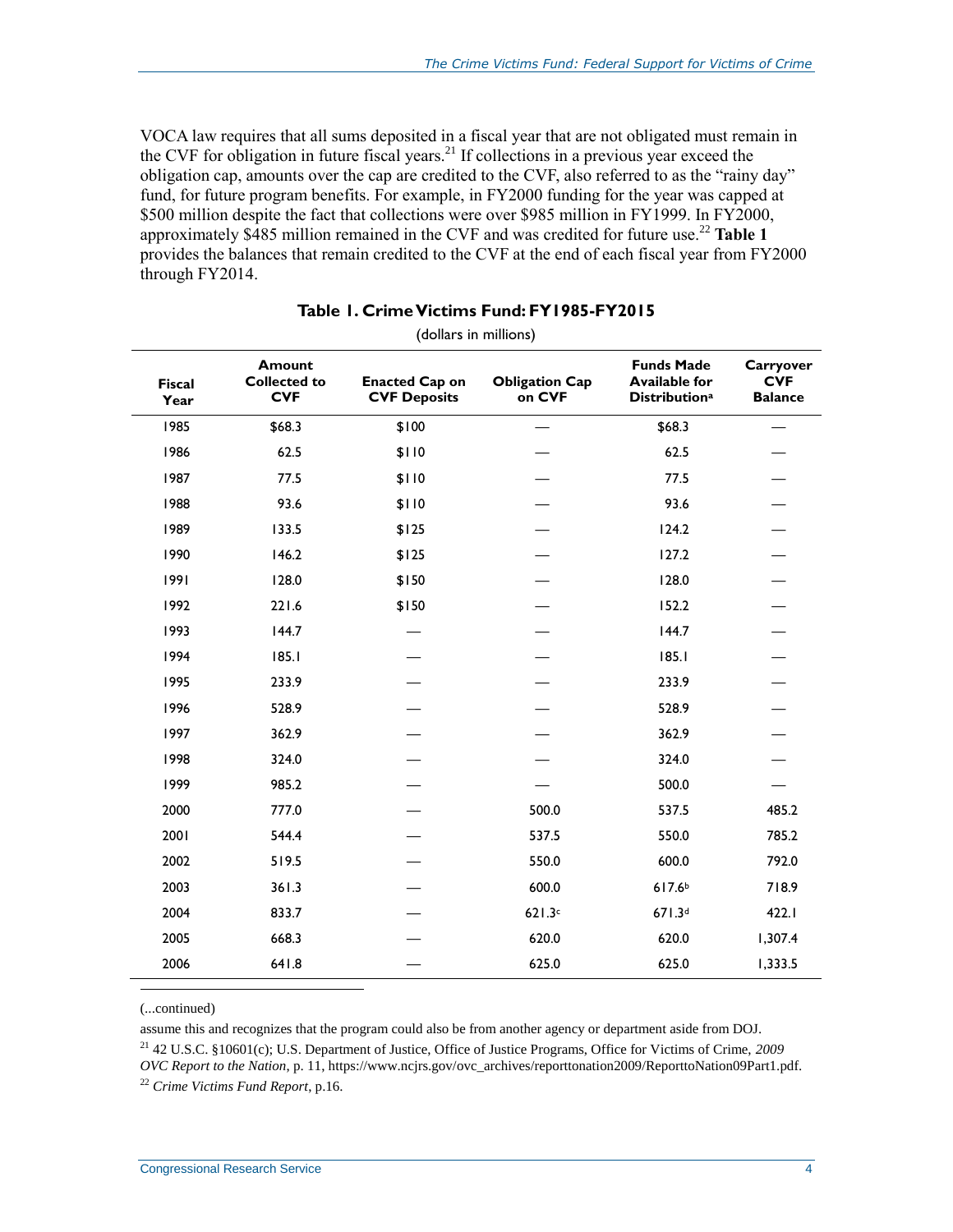VOCA law requires that all sums deposited in a fiscal year that are not obligated must remain in the CVF for obligation in future fiscal years.<sup>21</sup> If collections in a previous year exceed the obligation cap, amounts over the cap are credited to the CVF, also referred to as the "rainy day" fund, for future program benefits. For example, in FY2000 funding for the year was capped at \$500 million despite the fact that collections were over \$985 million in FY1999. In FY2000, approximately \$485 million remained in the CVF and was credited for future use.<sup>22</sup> **[Table 1](#page-6-0)** provides the balances that remain credited to the CVF at the end of each fiscal year from FY2000 through FY2014.

<span id="page-6-0"></span>

| <b>Fiscal</b><br>Year | <b>Amount</b><br><b>Collected to</b><br><b>CVF</b> | <b>Enacted Cap on</b><br><b>CVF Deposits</b> | <b>Obligation Cap</b><br>on CVF | <b>Funds Made</b><br><b>Available for</b><br><b>Distribution</b> <sup>a</sup> | Carryover<br><b>CVF</b><br><b>Balance</b> |
|-----------------------|----------------------------------------------------|----------------------------------------------|---------------------------------|-------------------------------------------------------------------------------|-------------------------------------------|
| 1985                  | \$68.3                                             | \$100                                        |                                 | \$68.3                                                                        |                                           |
| 1986                  | 62.5                                               | \$110                                        |                                 | 62.5                                                                          |                                           |
| 1987                  | 77.5                                               | \$110                                        |                                 | 77.5                                                                          |                                           |
| 1988                  | 93.6                                               | \$110                                        |                                 | 93.6                                                                          |                                           |
| 1989                  | 133.5                                              | \$125                                        |                                 | 124.2                                                                         |                                           |
| 1990                  | 146.2                                              | \$125                                        |                                 | 127.2                                                                         |                                           |
| 1991                  | 128.0                                              | \$150                                        |                                 | 128.0                                                                         |                                           |
| 1992                  | 221.6                                              | \$150                                        |                                 | 152.2                                                                         |                                           |
| 1993                  | 144.7                                              |                                              |                                 | 144.7                                                                         |                                           |
| 1994                  | 185.1                                              |                                              |                                 | 185.1                                                                         |                                           |
| 1995                  | 233.9                                              |                                              |                                 | 233.9                                                                         |                                           |
| 1996                  | 528.9                                              |                                              |                                 | 528.9                                                                         |                                           |
| 1997                  | 362.9                                              |                                              |                                 | 362.9                                                                         |                                           |
| 1998                  | 324.0                                              |                                              |                                 | 324.0                                                                         |                                           |
| 1999                  | 985.2                                              |                                              |                                 | 500.0                                                                         |                                           |
| 2000                  | 777.0                                              |                                              | 500.0                           | 537.5                                                                         | 485.2                                     |
| 2001                  | 544.4                                              |                                              | 537.5                           | 550.0                                                                         | 785.2                                     |
| 2002                  | 519.5                                              |                                              | 550.0                           | 600.0                                                                         | 792.0                                     |
| 2003                  | 361.3                                              |                                              | 600.0                           | 617.6 <sup>b</sup>                                                            | 718.9                                     |
| 2004                  | 833.7                                              |                                              | 621.3c                          | 671.3d                                                                        | 422.1                                     |
| 2005                  | 668.3                                              |                                              | 620.0                           | 620.0                                                                         | 1,307.4                                   |
| 2006                  | 641.8                                              |                                              | 625.0                           | 625.0                                                                         | 1,333.5                                   |
|                       |                                                    |                                              |                                 |                                                                               |                                           |

#### **Table 1. Crime Victims Fund: FY1985-FY2015**

(dollars in millions)

(...continued)

 $\overline{a}$ 

assume this and recognizes that the program could also be from another agency or department aside from DOJ.

<sup>21</sup> 42 U.S.C. §10601(c); U.S. Department of Justice, Office of Justice Programs, Office for Victims of Crime, *2009 OVC Report to the Nation*, p. 11, https://www.ncjrs.gov/ovc\_archives/reporttonation2009/ReporttoNation09Part1.pdf. <sup>22</sup> *Crime Victims Fund Report*, p.16.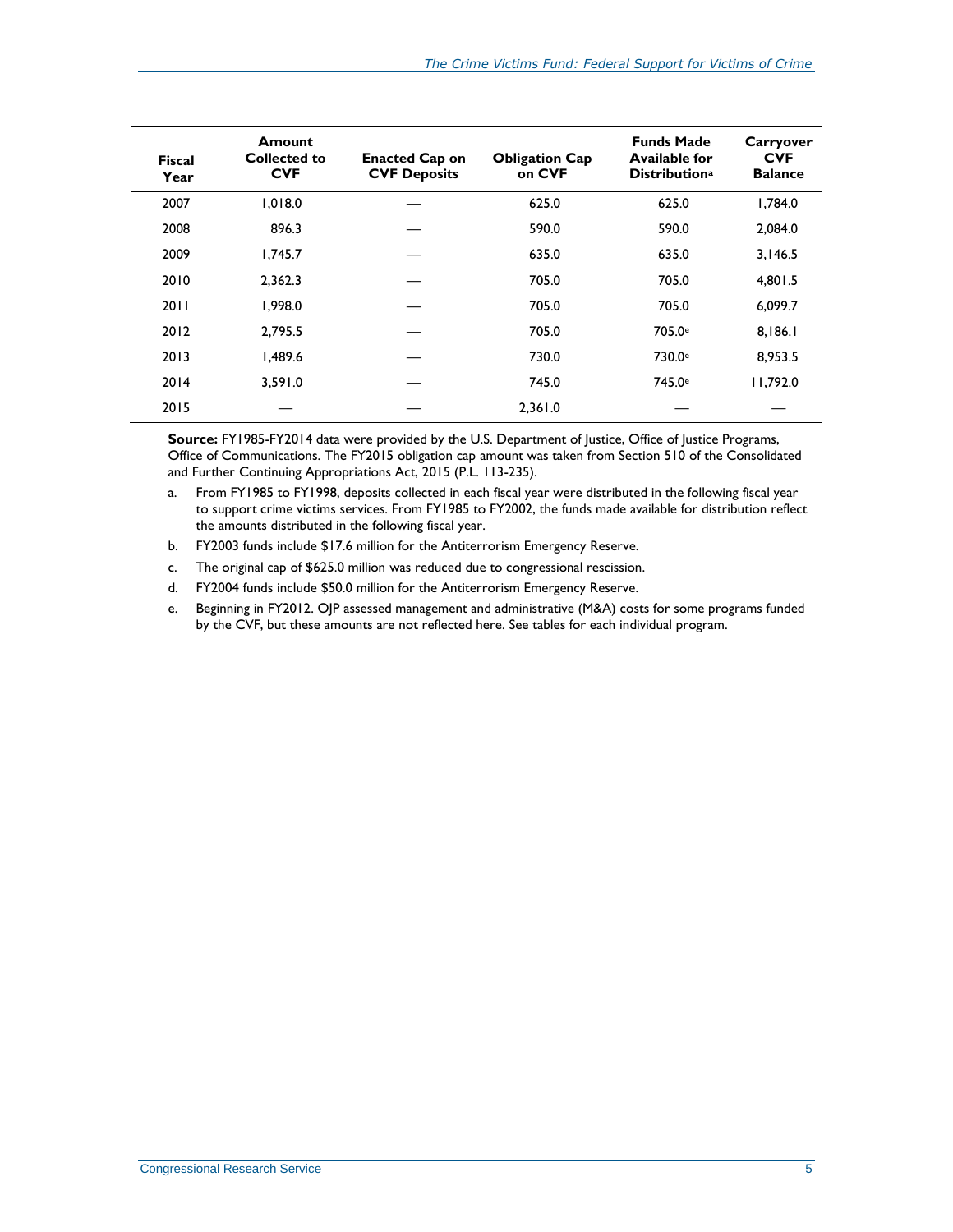| <b>Fiscal</b><br>Year | <b>Amount</b><br><b>Collected to</b><br><b>CVF</b> | <b>Enacted Cap on</b><br><b>CVF Deposits</b> | <b>Obligation Cap</b><br>on CVF | <b>Funds Made</b><br><b>Available for</b><br><b>Distribution</b> <sup>a</sup> | Carryover<br><b>CVF</b><br><b>Balance</b> |
|-----------------------|----------------------------------------------------|----------------------------------------------|---------------------------------|-------------------------------------------------------------------------------|-------------------------------------------|
| 2007                  | 1.018.0                                            |                                              | 625.0                           | 625.0                                                                         | 1.784.0                                   |
| 2008                  | 896.3                                              |                                              | 590.0                           | 590.0                                                                         | 2,084.0                                   |
| 2009                  | 1.745.7                                            |                                              | 635.0                           | 635.0                                                                         | 3.146.5                                   |
| 2010                  | 2,362.3                                            |                                              | 705.0                           | 705.0                                                                         | 4,801.5                                   |
| 2011                  | 1,998.0                                            |                                              | 705.0                           | 705.0                                                                         | 6,099.7                                   |
| 2012                  | 2,795.5                                            |                                              | 705.0                           | 705.0 <sup>e</sup>                                                            | 8,186.1                                   |
| 2013                  | 1.489.6                                            |                                              | 730.0                           | 730.0e                                                                        | 8.953.5                                   |
| 2014                  | 3,591.0                                            |                                              | 745.0                           | 745.0 <sup>e</sup>                                                            | 11.792.0                                  |
| 2015                  |                                                    |                                              | 2,361.0                         |                                                                               |                                           |

**Source:** FY1985-FY2014 data were provided by the U.S. Department of Justice, Office of Justice Programs, Office of Communications. The FY2015 obligation cap amount was taken from Section 510 of the Consolidated and Further Continuing Appropriations Act, 2015 (P.L. 113-235).

- <span id="page-7-0"></span>a. From FY1985 to FY1998, deposits collected in each fiscal year were distributed in the following fiscal year to support crime victims services. From FY1985 to FY2002, the funds made available for distribution reflect the amounts distributed in the following fiscal year.
- <span id="page-7-1"></span>b. FY2003 funds include \$17.6 million for the Antiterrorism Emergency Reserve.
- <span id="page-7-2"></span>c. The original cap of \$625.0 million was reduced due to congressional rescission.
- <span id="page-7-3"></span>d. FY2004 funds include \$50.0 million for the Antiterrorism Emergency Reserve.
- <span id="page-7-4"></span>e. Beginning in FY2012. OJP assessed management and administrative (M&A) costs for some programs funded by the CVF, but these amounts are not reflected here. See tables for each individual program.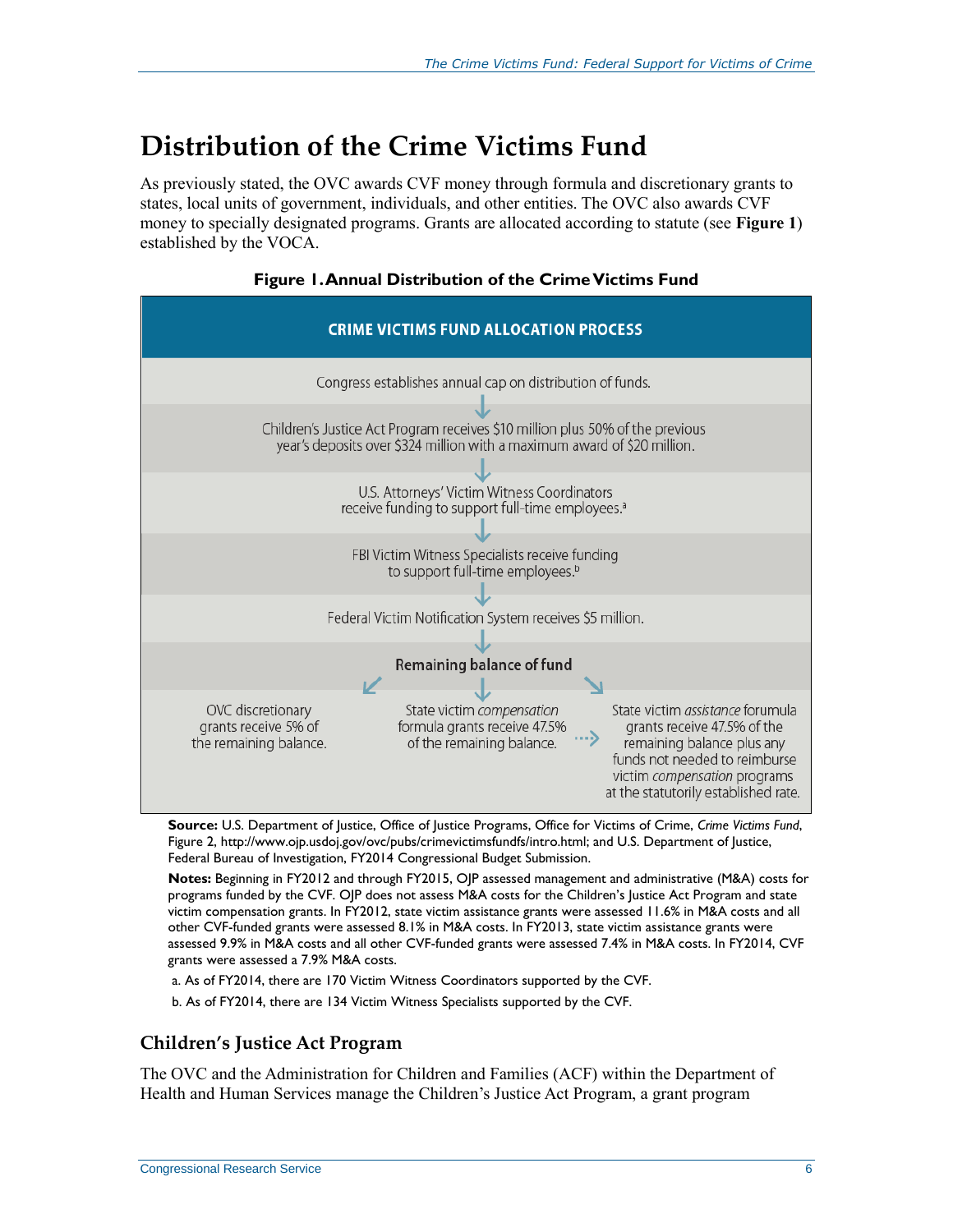## **Distribution of the Crime Victims Fund**

As previously stated, the OVC awards CVF money through formula and discretionary grants to states, local units of government, individuals, and other entities. The OVC also awards CVF money to specially designated programs. Grants are allocated according to statute (see **[Figure 1](#page-8-0)**) established by the VOCA.

<span id="page-8-0"></span>

**Figure 1. Annual Distribution of the Crime Victims Fund**

**Source:** U.S. Department of Justice, Office of Justice Programs, Office for Victims of Crime, *Crime Victims Fund*, Figure 2, http://www.ojp.usdoj.gov/ovc/pubs/crimevictimsfundfs/intro.html; and U.S. Department of Justice, Federal Bureau of Investigation, FY2014 Congressional Budget Submission.

**Notes:** Beginning in FY2012 and through FY2015, OJP assessed management and administrative (M&A) costs for programs funded by the CVF. OJP does not assess M&A costs for the Children's Justice Act Program and state victim compensation grants. In FY2012, state victim assistance grants were assessed 11.6% in M&A costs and all other CVF-funded grants were assessed 8.1% in M&A costs. In FY2013, state victim assistance grants were assessed 9.9% in M&A costs and all other CVF-funded grants were assessed 7.4% in M&A costs. In FY2014, CVF grants were assessed a 7.9% M&A costs.

a. As of FY2014, there are 170 Victim Witness Coordinators supported by the CVF.

b. As of FY2014, there are 134 Victim Witness Specialists supported by the CVF.

#### **Children's Justice Act Program**

The OVC and the Administration for Children and Families (ACF) within the Department of Health and Human Services manage the Children's Justice Act Program, a grant program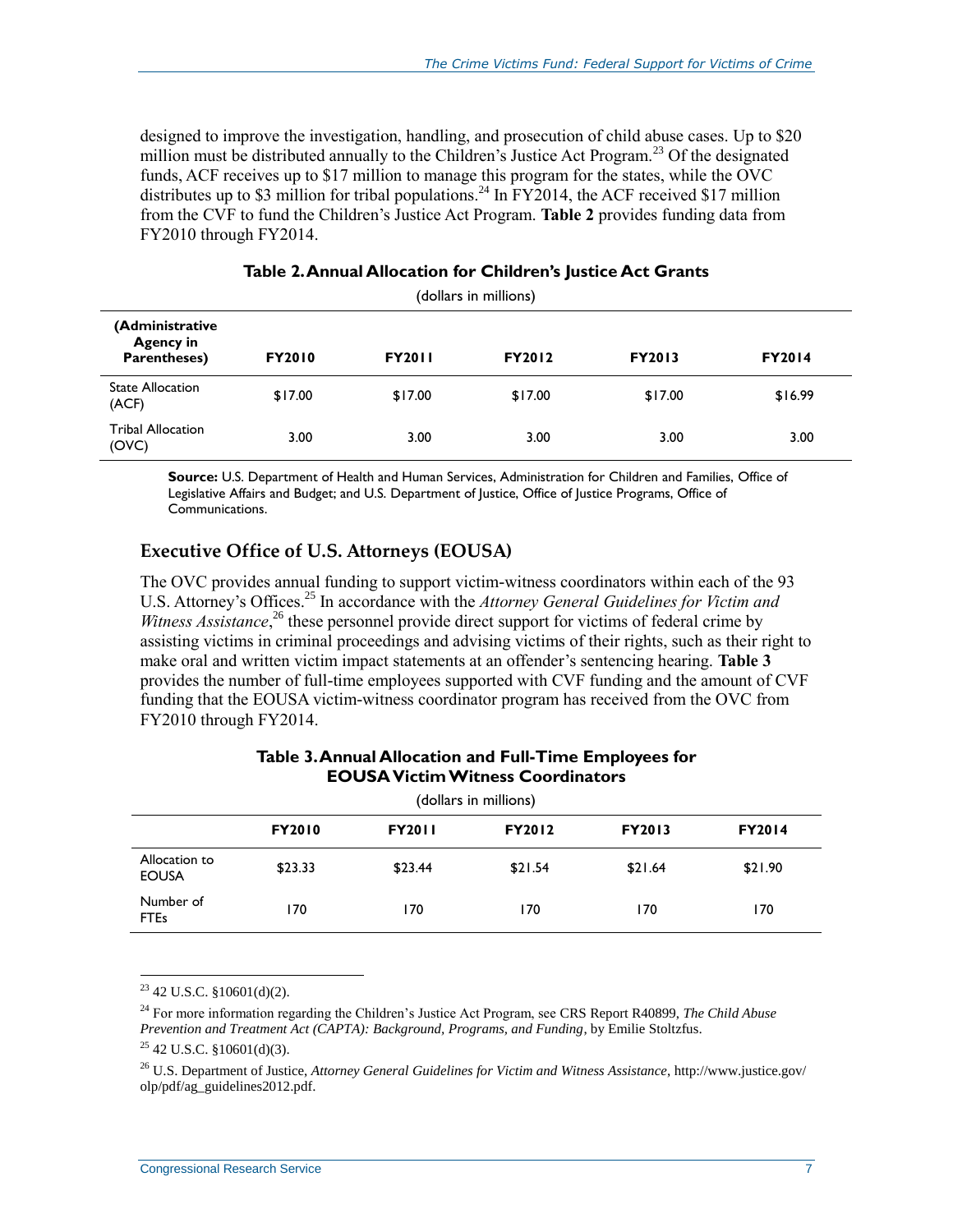designed to improve the investigation, handling, and prosecution of child abuse cases. Up to \$20 million must be distributed annually to the Children's Justice Act Program.<sup>23</sup> Of the designated funds, ACF receives up to \$17 million to manage this program for the states, while the OVC distributes up to \$3 million for tribal populations.<sup>24</sup> In FY2014, the ACF received \$17 million from the CVF to fund the Children's Justice Act Program. **[Table 2](#page-9-0)** provides funding data from FY2010 through FY2014.

<span id="page-9-0"></span>

| (dollars in millions)                               |               |               |               |               |               |  |
|-----------------------------------------------------|---------------|---------------|---------------|---------------|---------------|--|
| (Administrative<br><b>Agency in</b><br>Parentheses) | <b>FY2010</b> | <b>FY2011</b> | <b>FY2012</b> | <b>FY2013</b> | <b>FY2014</b> |  |
| <b>State Allocation</b><br>(ACF)                    | \$17.00       | \$17.00       | \$17.00       | \$17.00       | \$16.99       |  |
| <b>Tribal Allocation</b><br>(OVC)                   | 3.00          | 3.00          | 3.00          | 3.00          | 3.00          |  |

#### **Table 2. Annual Allocation for Children's Justice Act Grants**

**Source:** U.S. Department of Health and Human Services, Administration for Children and Families, Office of Legislative Affairs and Budget; and U.S. Department of Justice, Office of Justice Programs, Office of Communications.

#### **Executive Office of U.S. Attorneys (EOUSA)**

The OVC provides annual funding to support victim-witness coordinators within each of the 93 U.S. Attorney's Offices.<sup>25</sup> In accordance with the *Attorney General Guidelines for Victim and* Witness Assistance,<sup>26</sup> these personnel provide direct support for victims of federal crime by assisting victims in criminal proceedings and advising victims of their rights, such as their right to make oral and written victim impact statements at an offender's sentencing hearing. **[Table 3](#page-9-1)** provides the number of full-time employees supported with CVF funding and the amount of CVF funding that the EOUSA victim-witness coordinator program has received from the OVC from FY2010 through FY2014.

<span id="page-9-1"></span>

| (dollars in millions)         |               |               |               |               |               |  |
|-------------------------------|---------------|---------------|---------------|---------------|---------------|--|
|                               | <b>FY2010</b> | <b>FY2011</b> | <b>FY2012</b> | <b>FY2013</b> | <b>FY2014</b> |  |
| Allocation to<br><b>EOUSA</b> | \$23.33       | \$23.44       | \$21.54       | \$21.64       | \$21.90       |  |
| Number of<br><b>FTEs</b>      | 170           | 170           | 170           | 170           | 170           |  |

#### **Table 3. Annual Allocation and Full-Time Employees for EOUSAVictimWitness Coordinators**

 $\overline{a}$  $23$  42 U.S.C. §10601(d)(2).

<sup>24</sup> For more information regarding the Children's Justice Act Program, see CRS Report R40899, *The Child Abuse Prevention and Treatment Act (CAPTA): Background, Programs, and Funding*, by Emilie Stoltzfus.

<sup>26</sup> U.S. Department of Justice, *Attorney General Guidelines for Victim and Witness Assistance*, http://www.justice.gov/ olp/pdf/ag\_guidelines2012.pdf.

 $25$  42 U.S.C. §10601(d)(3).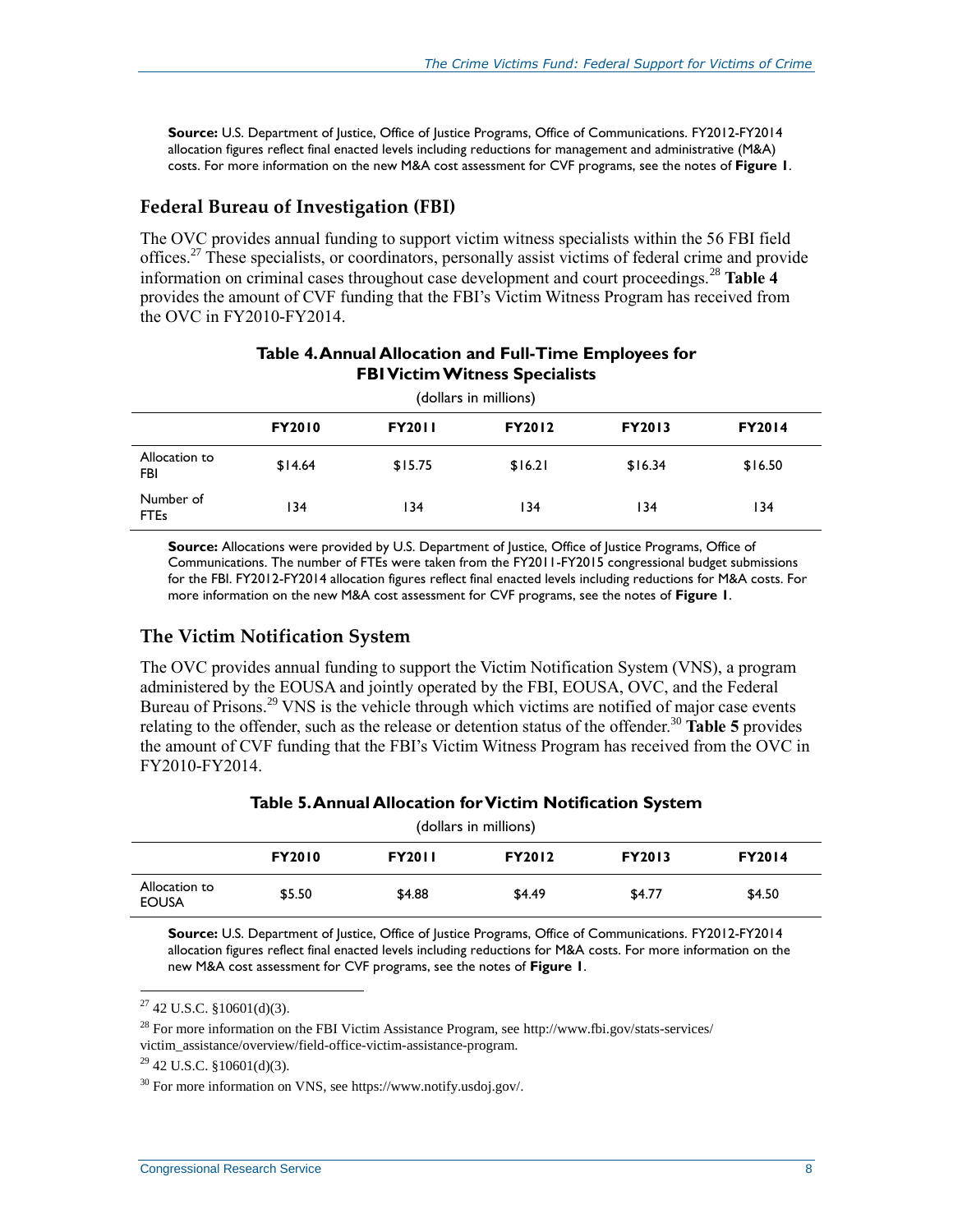**Source:** U.S. Department of Justice, Office of Justice Programs, Office of Communications. FY2012-FY2014 allocation figures reflect final enacted levels including reductions for management and administrative (M&A) costs. For more information on the new M&A cost assessment for CVF programs, see the notes of **[Figure 1](#page-8-0)**.

#### **Federal Bureau of Investigation (FBI)**

The OVC provides annual funding to support victim witness specialists within the 56 FBI field offices.<sup>27</sup> These specialists, or coordinators, personally assist victims of federal crime and provide information on criminal cases throughout case development and court proceedings.<sup>28</sup> [Table 4](#page-10-0) provides the amount of CVF funding that the FBI's Victim Witness Program has received from the OVC in FY2010-FY2014.

<span id="page-10-0"></span>

| (dollars in millions)    |               |               |               |               |               |  |  |
|--------------------------|---------------|---------------|---------------|---------------|---------------|--|--|
|                          | <b>FY2010</b> | <b>FY2011</b> | <b>FY2012</b> | <b>FY2013</b> | <b>FY2014</b> |  |  |
| Allocation to<br>FBI     | \$14.64       | \$15.75       | \$16.21       | \$16.34       | \$16.50       |  |  |
| Number of<br><b>FTEs</b> | 134           | 134           | 134           | 134           | 134           |  |  |

#### **Table 4. Annual Allocation and Full-Time Employees for FBIVictimWitness Specialists**

**Source:** Allocations were provided by U.S. Department of Justice, Office of Justice Programs, Office of Communications. The number of FTEs were taken from the FY2011-FY2015 congressional budget submissions for the FBI. FY2012-FY2014 allocation figures reflect final enacted levels including reductions for M&A costs. For more information on the new M&A cost assessment for CVF programs, see the notes of **[Figure 1](#page-8-0)**.

#### **The Victim Notification System**

The OVC provides annual funding to support the Victim Notification System (VNS), a program administered by the EOUSA and jointly operated by the FBI, EOUSA, OVC, and the Federal Bureau of Prisons.<sup>29</sup> VNS is the vehicle through which victims are notified of major case events relating to the offender, such as the release or detention status of the offender.<sup>30</sup> [Table 5](#page-10-1) provides the amount of CVF funding that the FBI's Victim Witness Program has received from the OVC in FY2010-FY2014.

| Table 5. Annual Allocation for Victim Notification System |  |  |
|-----------------------------------------------------------|--|--|
|-----------------------------------------------------------|--|--|

<span id="page-10-1"></span>

| (dollars in millions)         |               |               |               |               |               |  |  |
|-------------------------------|---------------|---------------|---------------|---------------|---------------|--|--|
|                               | <b>FY2010</b> | <b>FY2011</b> | <b>FY2012</b> | <b>FY2013</b> | <b>FY2014</b> |  |  |
| Allocation to<br><b>EOUSA</b> | \$5.50        | \$4.88        | \$4.49        | \$4.77        | \$4.50        |  |  |

**Source:** U.S. Department of Justice, Office of Justice Programs, Office of Communications. FY2012-FY2014 allocation figures reflect final enacted levels including reductions for M&A costs. For more information on the new M&A cost assessment for CVF programs, see the notes of **[Figure 1](#page-8-0)**.

 $\overline{a}$ 

 $^{28}$  For more information on the FBI Victim Assistance Program, see http://www.fbi.gov/stats-services/ victim\_assistance/overview/field-office-victim-assistance-program.

 $30$  For more information on VNS, see https://www.notify.usdoj.gov/.

 $27$  42 U.S.C. §10601(d)(3).

<sup>29</sup> 42 U.S.C. §10601(d)(3).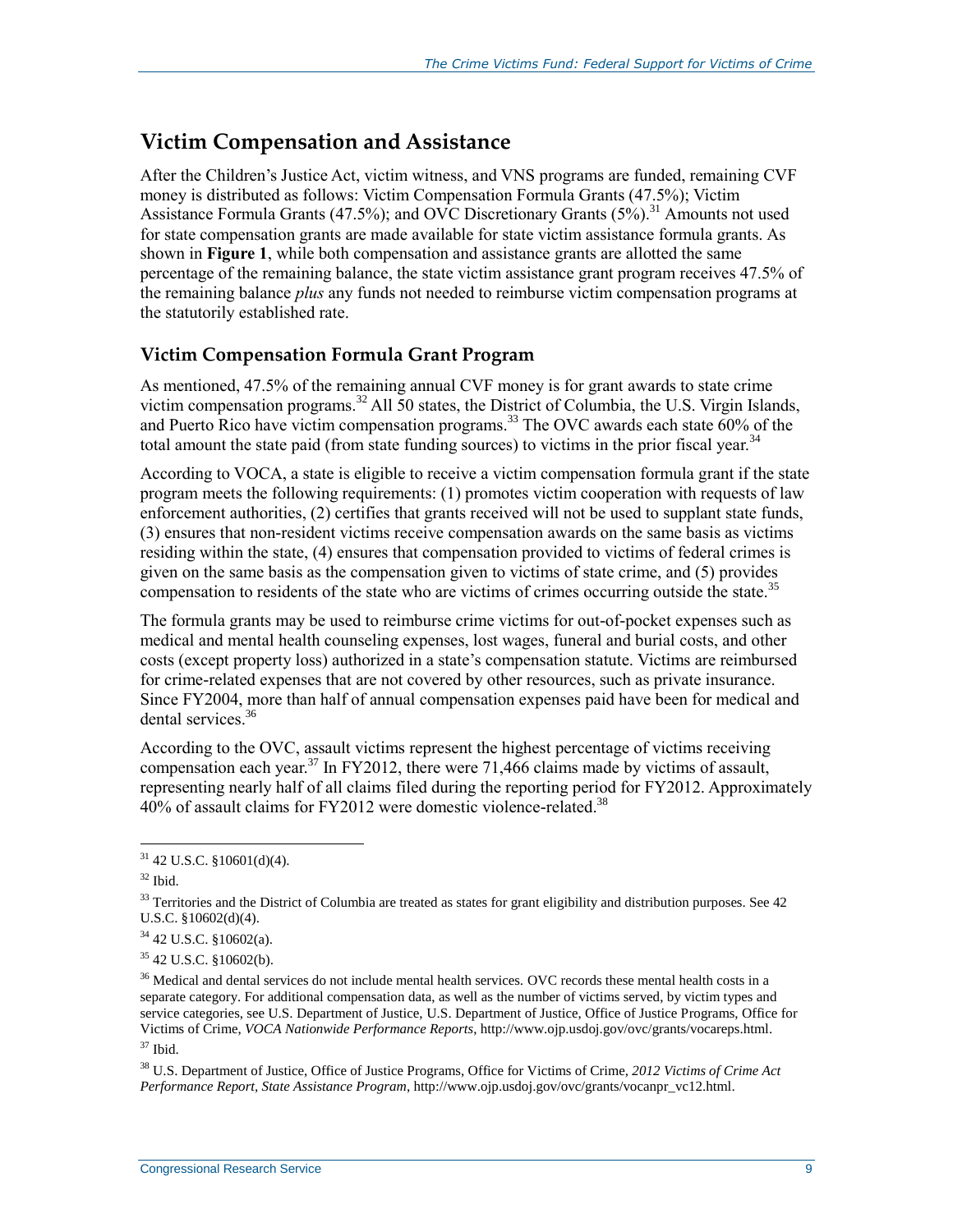### **Victim Compensation and Assistance**

After the Children's Justice Act, victim witness, and VNS programs are funded, remaining CVF money is distributed as follows: Victim Compensation Formula Grants (47.5%); Victim Assistance Formula Grants (47.5%); and OVC Discretionary Grants  $(5\%)$ .<sup>31</sup> Amounts not used for state compensation grants are made available for state victim assistance formula grants. As shown in **[Figure 1](#page-8-0)**, while both compensation and assistance grants are allotted the same percentage of the remaining balance, the state victim assistance grant program receives 47.5% of the remaining balance *plus* any funds not needed to reimburse victim compensation programs at the statutorily established rate.

#### **Victim Compensation Formula Grant Program**

As mentioned, 47.5% of the remaining annual CVF money is for grant awards to state crime victim compensation programs.<sup>32</sup> All 50 states, the District of Columbia, the U.S. Virgin Islands, and Puerto Rico have victim compensation programs.<sup>33</sup> The OVC awards each state 60% of the total amount the state paid (from state funding sources) to victims in the prior fiscal year.<sup>34</sup>

According to VOCA, a state is eligible to receive a victim compensation formula grant if the state program meets the following requirements: (1) promotes victim cooperation with requests of law enforcement authorities, (2) certifies that grants received will not be used to supplant state funds, (3) ensures that non-resident victims receive compensation awards on the same basis as victims residing within the state, (4) ensures that compensation provided to victims of federal crimes is given on the same basis as the compensation given to victims of state crime, and (5) provides compensation to residents of the state who are victims of crimes occurring outside the state.<sup>35</sup>

The formula grants may be used to reimburse crime victims for out-of-pocket expenses such as medical and mental health counseling expenses, lost wages, funeral and burial costs, and other costs (except property loss) authorized in a state's compensation statute. Victims are reimbursed for crime-related expenses that are not covered by other resources, such as private insurance. Since FY2004, more than half of annual compensation expenses paid have been for medical and dental services.<sup>36</sup>

According to the OVC, assault victims represent the highest percentage of victims receiving compensation each year.<sup>37</sup> In FY2012, there were 71,466 claims made by victims of assault, representing nearly half of all claims filed during the reporting period for FY2012. Approximately  $40\%$  of assault claims for FY2012 were domestic violence-related.<sup>38</sup>

 $31$  42 U.S.C. §10601(d)(4).

 $32$  Ibid.

 $33$  Territories and the District of Columbia are treated as states for grant eligibility and distribution purposes. See 42 U.S.C. §10602(d)(4).

 $34$  42 U.S.C. §10602(a).

<sup>35</sup> 42 U.S.C. §10602(b).

<sup>&</sup>lt;sup>36</sup> Medical and dental services do not include mental health services. OVC records these mental health costs in a separate category. For additional compensation data, as well as the number of victims served, by victim types and service categories, see U.S. Department of Justice, U.S. Department of Justice, Office of Justice Programs, Office for Victims of Crime, *VOCA Nationwide Performance Reports*, http://www.ojp.usdoj.gov/ovc/grants/vocareps.html. <sup>37</sup> Ibid.

<sup>38</sup> U.S. Department of Justice, Office of Justice Programs, Office for Victims of Crime, *2012 Victims of Crime Act Performance Report, State Assistance Program*, http://www.ojp.usdoj.gov/ovc/grants/vocanpr\_vc12.html.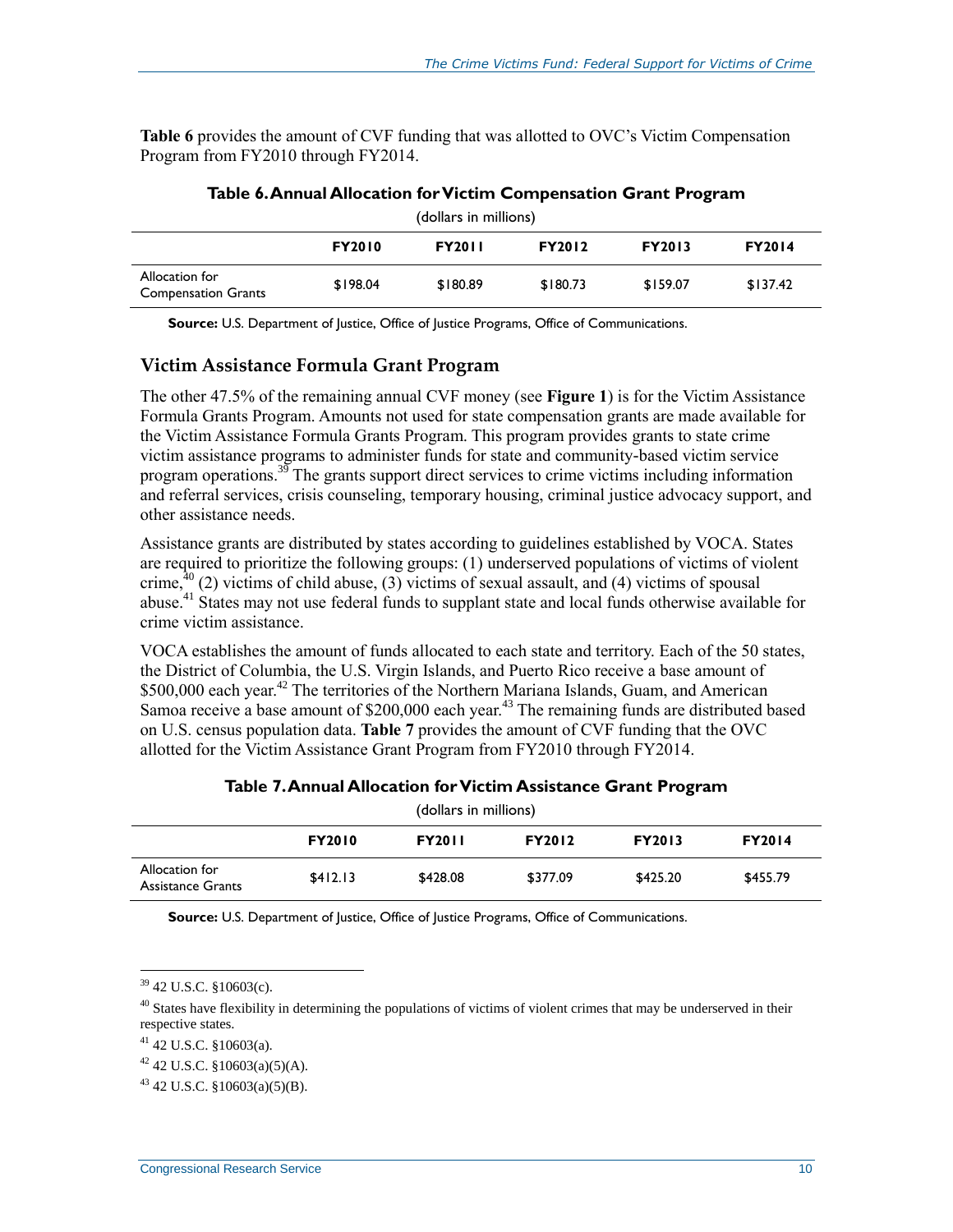**[Table 6](#page-12-0)** provides the amount of CVF funding that was allotted to OVC's Victim Compensation Program from FY2010 through FY2014.

<span id="page-12-0"></span>

| (dollars in millions)                        |               |               |               |               |               |
|----------------------------------------------|---------------|---------------|---------------|---------------|---------------|
|                                              | <b>FY2010</b> | <b>FY2011</b> | <b>FY2012</b> | <b>FY2013</b> | <b>FY2014</b> |
| Allocation for<br><b>Compensation Grants</b> | \$198.04      | \$180.89      | \$180.73      | \$159.07      | \$137.42      |

#### **Table 6. Annual Allocation for Victim Compensation Grant Program**

**Source:** U.S. Department of Justice, Office of Justice Programs, Office of Communications.

#### **Victim Assistance Formula Grant Program**

The other 47.5% of the remaining annual CVF money (see **[Figure 1](#page-8-0)**) is for the Victim Assistance Formula Grants Program. Amounts not used for state compensation grants are made available for the Victim Assistance Formula Grants Program. This program provides grants to state crime victim assistance programs to administer funds for state and community-based victim service program operations.<sup>39</sup> The grants support direct services to crime victims including information and referral services, crisis counseling, temporary housing, criminal justice advocacy support, and other assistance needs.

Assistance grants are distributed by states according to guidelines established by VOCA. States are required to prioritize the following groups: (1) underserved populations of victims of violent crime,  $^{0}$  (2) victims of child abuse, (3) victims of sexual assault, and (4) victims of spousal abuse.<sup>41</sup> States may not use federal funds to supplant state and local funds otherwise available for crime victim assistance.

VOCA establishes the amount of funds allocated to each state and territory. Each of the 50 states, the District of Columbia, the U.S. Virgin Islands, and Puerto Rico receive a base amount of \$500,000 each year.<sup>42</sup> The territories of the Northern Mariana Islands, Guam, and American Samoa receive a base amount of \$200,000 each year.<sup>43</sup> The remaining funds are distributed based on U.S. census population data. **[Table 7](#page-12-1)** provides the amount of CVF funding that the OVC allotted for the Victim Assistance Grant Program from FY2010 through FY2014.

<span id="page-12-1"></span>

| (dollars in millions)               |               |               |               |               |               |  |  |  |
|-------------------------------------|---------------|---------------|---------------|---------------|---------------|--|--|--|
|                                     | <b>FY2010</b> | <b>FY2011</b> | <b>FY2012</b> | <b>FY2013</b> | <b>FY2014</b> |  |  |  |
| Allocation for<br>Assistance Grants | \$412.13      | \$428.08      | \$377.09      | \$425.20      | \$455.79      |  |  |  |

#### **Table 7. Annual Allocation for Victim Assistance Grant Program**

**Source:** U.S. Department of Justice, Office of Justice Programs, Office of Communications.

 $39$  42 U.S.C. §10603(c).

 $40$  States have flexibility in determining the populations of victims of violent crimes that may be underserved in their respective states.

 $41$  42 U.S.C. §10603(a).

 $42$  42 U.S.C. §10603(a)(5)(A).

 $43$  42 U.S.C. §10603(a)(5)(B).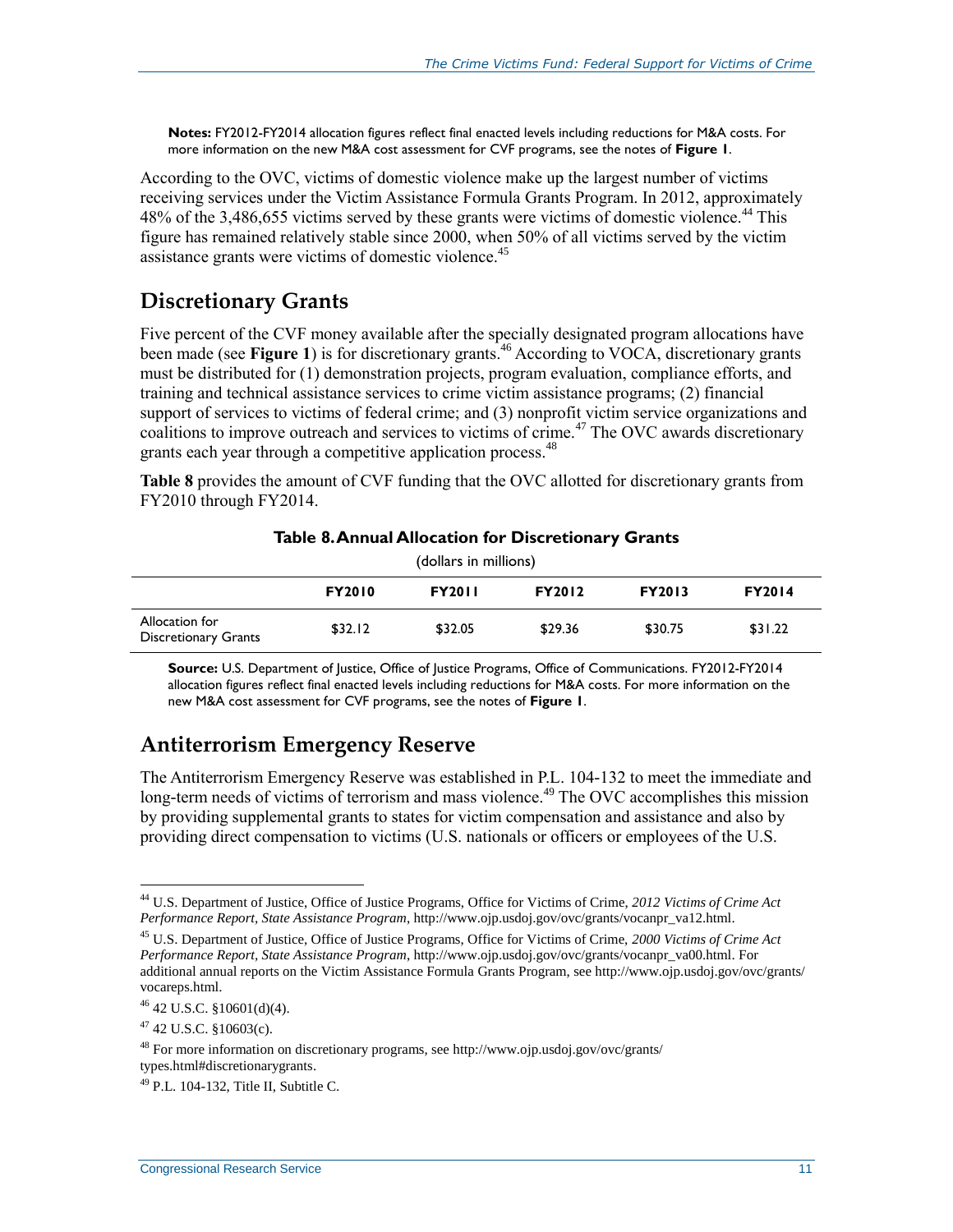**Notes:** FY2012-FY2014 allocation figures reflect final enacted levels including reductions for M&A costs. For more information on the new M&A cost assessment for CVF programs, see the notes of **[Figure 1](#page-8-0)**.

According to the OVC, victims of domestic violence make up the largest number of victims receiving services under the Victim Assistance Formula Grants Program. In 2012, approximately 48% of the 3,486,655 victims served by these grants were victims of domestic violence.<sup>44</sup> This figure has remained relatively stable since 2000, when 50% of all victims served by the victim assistance grants were victims of domestic violence.<sup>45</sup>

### **Discretionary Grants**

Five percent of the CVF money available after the specially designated program allocations have been made (see **[Figure 1](#page-8-0)**) is for discretionary grants.<sup>46</sup> According to VOCA, discretionary grants must be distributed for (1) demonstration projects, program evaluation, compliance efforts, and training and technical assistance services to crime victim assistance programs; (2) financial support of services to victims of federal crime; and (3) nonprofit victim service organizations and coalitions to improve outreach and services to victims of crime.<sup>47</sup> The OVC awards discretionary grants each year through a competitive application process.<sup>48</sup>

**[Table 8](#page-13-0)** provides the amount of CVF funding that the OVC allotted for discretionary grants from FY2010 through FY2014.

<span id="page-13-0"></span>

| (dollars in millions)                         |               |               |               |               |               |  |  |
|-----------------------------------------------|---------------|---------------|---------------|---------------|---------------|--|--|
|                                               | <b>FY2010</b> | <b>FY2011</b> | <b>FY2012</b> | <b>FY2013</b> | <b>FY2014</b> |  |  |
| Allocation for<br><b>Discretionary Grants</b> | \$32.12       | \$32.05       | \$29.36       | \$30.75       | \$31.22       |  |  |

#### **Table 8. Annual Allocation for Discretionary Grants**

**Source:** U.S. Department of Justice, Office of Justice Programs, Office of Communications. FY2012-FY2014 allocation figures reflect final enacted levels including reductions for M&A costs. For more information on the new M&A cost assessment for CVF programs, see the notes of **[Figure 1](#page-8-0)**.

### **Antiterrorism Emergency Reserve**

The Antiterrorism Emergency Reserve was established in P.L. 104-132 to meet the immediate and long-term needs of victims of terrorism and mass violence.<sup>49</sup> The OVC accomplishes this mission by providing supplemental grants to states for victim compensation and assistance and also by providing direct compensation to victims (U.S. nationals or officers or employees of the U.S.

<sup>44</sup> U.S. Department of Justice, Office of Justice Programs, Office for Victims of Crime, *2012 Victims of Crime Act Performance Report, State Assistance Program*, http://www.ojp.usdoj.gov/ovc/grants/vocanpr\_va12.html.

<sup>45</sup> U.S. Department of Justice, Office of Justice Programs, Office for Victims of Crime, *2000 Victims of Crime Act Performance Report, State Assistance Program*, http://www.ojp.usdoj.gov/ovc/grants/vocanpr\_va00.html. For additional annual reports on the Victim Assistance Formula Grants Program, see http://www.ojp.usdoj.gov/ovc/grants/ vocareps.html.

 $46$  42 U.S.C. §10601(d)(4).

 $47$  42 U.S.C. §10603(c).

<sup>48</sup> For more information on discretionary programs, see http://www.ojp.usdoj.gov/ovc/grants/ types.html#discretionarygrants.

<sup>49</sup> P.L. 104-132, Title II, Subtitle C.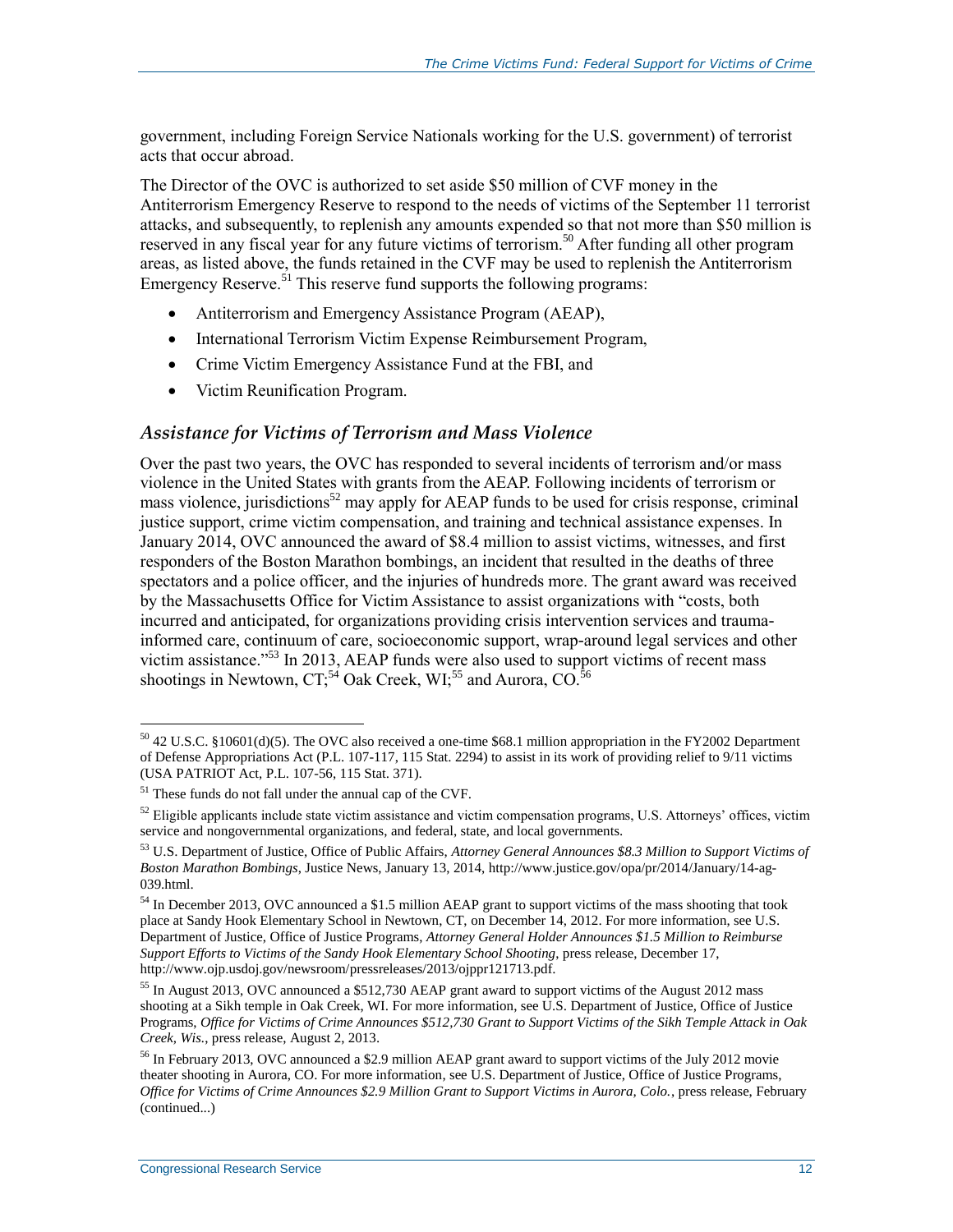government, including Foreign Service Nationals working for the U.S. government) of terrorist acts that occur abroad.

The Director of the OVC is authorized to set aside \$50 million of CVF money in the Antiterrorism Emergency Reserve to respond to the needs of victims of the September 11 terrorist attacks, and subsequently, to replenish any amounts expended so that not more than \$50 million is reserved in any fiscal year for any future victims of terrorism.<sup>50</sup> After funding all other program areas, as listed above, the funds retained in the CVF may be used to replenish the Antiterrorism Emergency Reserve.<sup> $51$ </sup> This reserve fund supports the following programs:

- Antiterrorism and Emergency Assistance Program (AEAP),
- International Terrorism Victim Expense Reimbursement Program,
- Crime Victim Emergency Assistance Fund at the FBI, and
- Victim Reunification Program.

#### *Assistance for Victims of Terrorism and Mass Violence*

Over the past two years, the OVC has responded to several incidents of terrorism and/or mass violence in the United States with grants from the AEAP. Following incidents of terrorism or mass violence, jurisdictions<sup>52</sup> may apply for AEAP funds to be used for crisis response, criminal justice support, crime victim compensation, and training and technical assistance expenses. In January 2014, OVC announced the award of \$8.4 million to assist victims, witnesses, and first responders of the Boston Marathon bombings, an incident that resulted in the deaths of three spectators and a police officer, and the injuries of hundreds more. The grant award was received by the Massachusetts Office for Victim Assistance to assist organizations with "costs, both incurred and anticipated, for organizations providing crisis intervention services and traumainformed care, continuum of care, socioeconomic support, wrap-around legal services and other victim assistance."<sup>53</sup> In 2013, AEAP funds were also used to support victims of recent mass shootings in Newtown,  $CT<sub>1</sub><sup>54</sup>$  Oak Creek, WI<sub>1</sub><sup>55</sup> and Aurora, CO.<sup>56</sup>

 $\overline{a}$ <sup>50</sup> 42 U.S.C. §10601(d)(5). The OVC also received a one-time \$68.1 million appropriation in the FY2002 Department of Defense Appropriations Act (P.L. 107-117, 115 Stat. 2294) to assist in its work of providing relief to 9/11 victims (USA PATRIOT Act, P.L. 107-56, 115 Stat. 371).

<sup>51</sup> These funds do not fall under the annual cap of the CVF.

 $52$  Eligible applicants include state victim assistance and victim compensation programs, U.S. Attorneys' offices, victim service and nongovernmental organizations, and federal, state, and local governments.

<sup>53</sup> U.S. Department of Justice, Office of Public Affairs, *Attorney General Announces \$8.3 Million to Support Victims of Boston Marathon Bombings*, Justice News, January 13, 2014, http://www.justice.gov/opa/pr/2014/January/14-ag-039.html.

<sup>54</sup> In December 2013, OVC announced a \$1.5 million AEAP grant to support victims of the mass shooting that took place at Sandy Hook Elementary School in Newtown, CT, on December 14, 2012. For more information, see U.S. Department of Justice, Office of Justice Programs, *Attorney General Holder Announces \$1.5 Million to Reimburse Support Efforts to Victims of the Sandy Hook Elementary School Shooting*, press release, December 17, http://www.ojp.usdoj.gov/newsroom/pressreleases/2013/ojppr121713.pdf.

<sup>55</sup> In August 2013, OVC announced a \$512,730 AEAP grant award to support victims of the August 2012 mass shooting at a Sikh temple in Oak Creek, WI. For more information, see U.S. Department of Justice, Office of Justice Programs, *Office for Victims of Crime Announces \$512,730 Grant to Support Victims of the Sikh Temple Attack in Oak Creek, Wis.*, press release, August 2, 2013.

<sup>56</sup> In February 2013, OVC announced a \$2.9 million AEAP grant award to support victims of the July 2012 movie theater shooting in Aurora, CO. For more information, see U.S. Department of Justice, Office of Justice Programs, *Office for Victims of Crime Announces \$2.9 Million Grant to Support Victims in Aurora, Colo.*, press release, February (continued...)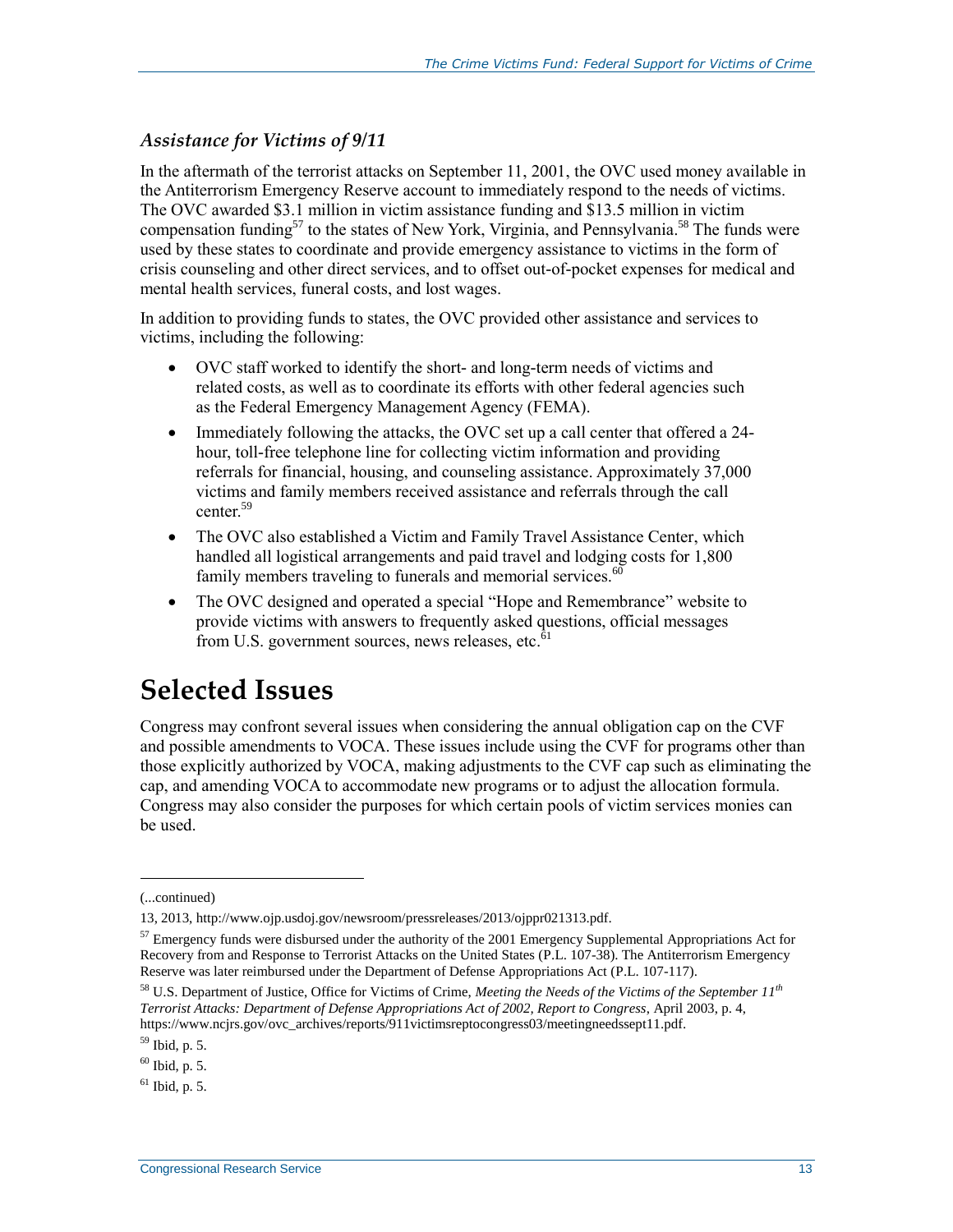#### *Assistance for Victims of 9/11*

In the aftermath of the terrorist attacks on September 11, 2001, the OVC used money available in the Antiterrorism Emergency Reserve account to immediately respond to the needs of victims. The OVC awarded \$3.1 million in victim assistance funding and \$13.5 million in victim compensation funding<sup>57</sup> to the states of New York, Virginia, and Pennsylvania.<sup>58</sup> The funds were used by these states to coordinate and provide emergency assistance to victims in the form of crisis counseling and other direct services, and to offset out-of-pocket expenses for medical and mental health services, funeral costs, and lost wages.

In addition to providing funds to states, the OVC provided other assistance and services to victims, including the following:

- OVC staff worked to identify the short- and long-term needs of victims and related costs, as well as to coordinate its efforts with other federal agencies such as the Federal Emergency Management Agency (FEMA).
- Immediately following the attacks, the OVC set up a call center that offered a 24 hour, toll-free telephone line for collecting victim information and providing referrals for financial, housing, and counseling assistance. Approximately 37,000 victims and family members received assistance and referrals through the call center.<sup>59</sup>
- The OVC also established a Victim and Family Travel Assistance Center, which handled all logistical arrangements and paid travel and lodging costs for 1,800 family members traveling to funerals and memorial services. $60$
- The OVC designed and operated a special "Hope and Remembrance" website to provide victims with answers to frequently asked questions, official messages from U.S. government sources, news releases, etc. $\overline{6}1$

## **Selected Issues**

Congress may confront several issues when considering the annual obligation cap on the CVF and possible amendments to VOCA. These issues include using the CVF for programs other than those explicitly authorized by VOCA, making adjustments to the CVF cap such as eliminating the cap, and amending VOCA to accommodate new programs or to adjust the allocation formula. Congress may also consider the purposes for which certain pools of victim services monies can be used.

l

<sup>(...</sup>continued)

<sup>13, 2013,</sup> http://www.ojp.usdoj.gov/newsroom/pressreleases/2013/ojppr021313.pdf.

 $57$  Emergency funds were disbursed under the authority of the 2001 Emergency Supplemental Appropriations Act for Recovery from and Response to Terrorist Attacks on the United States (P.L. 107-38). The Antiterrorism Emergency Reserve was later reimbursed under the Department of Defense Appropriations Act (P.L. 107-117).

<sup>58</sup> U.S. Department of Justice, Office for Victims of Crime, *Meeting the Needs of the Victims of the September 11th Terrorist Attacks: Department of Defense Appropriations Act of 2002, Report to Congress*, April 2003, p. 4, https://www.ncjrs.gov/ovc\_archives/reports/911victimsreptocongress03/meetingneedssept11.pdf.

<sup>59</sup> Ibid, p. 5.

<sup>60</sup> Ibid, p. 5.

 $61$  Ibid, p. 5.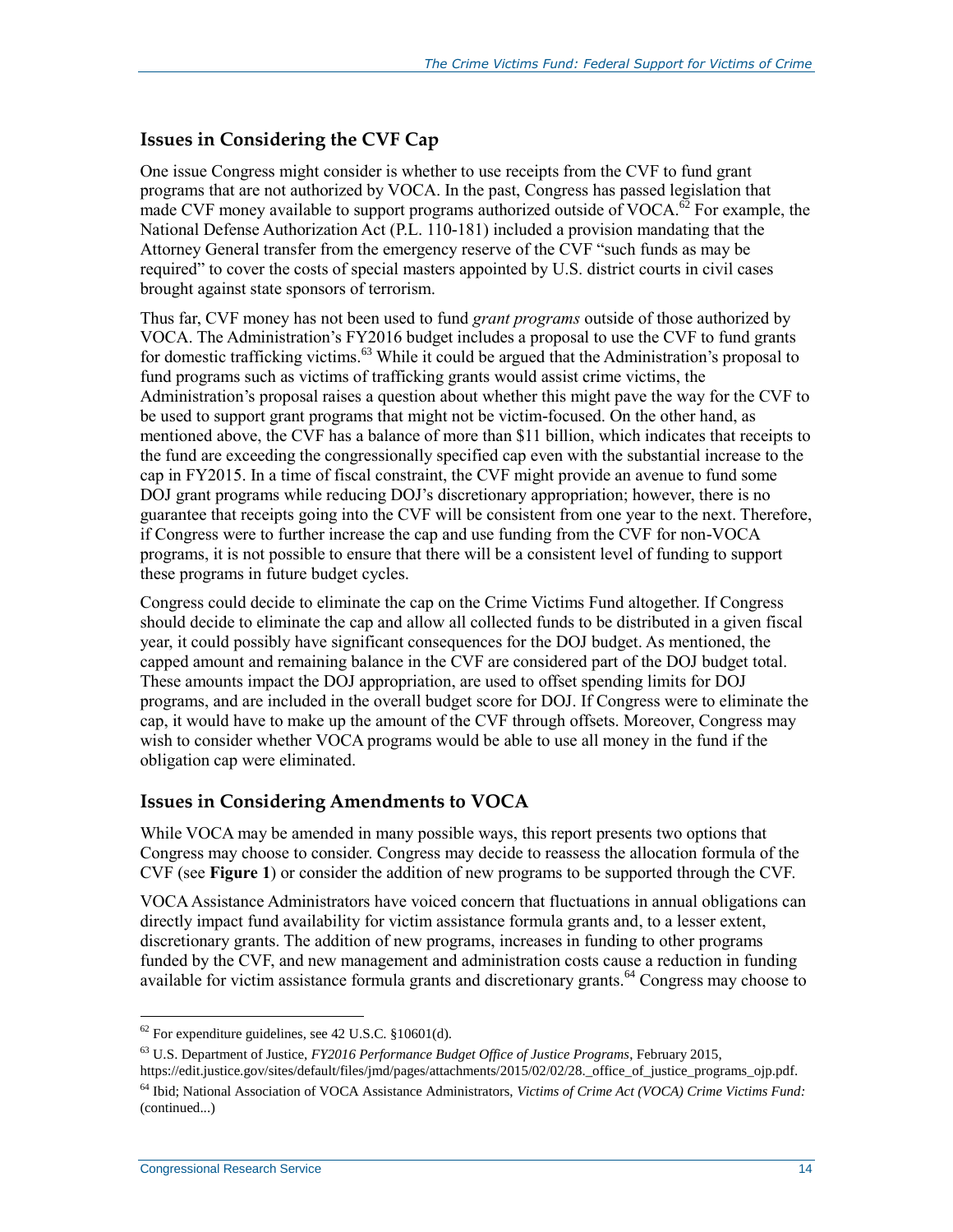#### **Issues in Considering the CVF Cap**

One issue Congress might consider is whether to use receipts from the CVF to fund grant programs that are not authorized by VOCA. In the past, Congress has passed legislation that made CVF money available to support programs authorized outside of VOCA.<sup> $\vec{\omega}$ </sup> For example, the National Defense Authorization Act (P.L. 110-181) included a provision mandating that the Attorney General transfer from the emergency reserve of the CVF "such funds as may be required" to cover the costs of special masters appointed by U.S. district courts in civil cases brought against state sponsors of terrorism.

Thus far, CVF money has not been used to fund *grant programs* outside of those authorized by VOCA. The Administration's FY2016 budget includes a proposal to use the CVF to fund grants for domestic trafficking victims.<sup>63</sup> While it could be argued that the Administration's proposal to fund programs such as victims of trafficking grants would assist crime victims, the Administration's proposal raises a question about whether this might pave the way for the CVF to be used to support grant programs that might not be victim-focused. On the other hand, as mentioned above, the CVF has a balance of more than \$11 billion, which indicates that receipts to the fund are exceeding the congressionally specified cap even with the substantial increase to the cap in FY2015. In a time of fiscal constraint, the CVF might provide an avenue to fund some DOJ grant programs while reducing DOJ's discretionary appropriation; however, there is no guarantee that receipts going into the CVF will be consistent from one year to the next. Therefore, if Congress were to further increase the cap and use funding from the CVF for non-VOCA programs, it is not possible to ensure that there will be a consistent level of funding to support these programs in future budget cycles.

Congress could decide to eliminate the cap on the Crime Victims Fund altogether. If Congress should decide to eliminate the cap and allow all collected funds to be distributed in a given fiscal year, it could possibly have significant consequences for the DOJ budget. As mentioned, the capped amount and remaining balance in the CVF are considered part of the DOJ budget total. These amounts impact the DOJ appropriation, are used to offset spending limits for DOJ programs, and are included in the overall budget score for DOJ. If Congress were to eliminate the cap, it would have to make up the amount of the CVF through offsets. Moreover, Congress may wish to consider whether VOCA programs would be able to use all money in the fund if the obligation cap were eliminated.

#### **Issues in Considering Amendments to VOCA**

While VOCA may be amended in many possible ways, this report presents two options that Congress may choose to consider. Congress may decide to reassess the allocation formula of the CVF (see **[Figure 1](#page-8-0)**) or consider the addition of new programs to be supported through the CVF.

VOCA Assistance Administrators have voiced concern that fluctuations in annual obligations can directly impact fund availability for victim assistance formula grants and, to a lesser extent, discretionary grants. The addition of new programs, increases in funding to other programs funded by the CVF, and new management and administration costs cause a reduction in funding available for victim assistance formula grants and discretionary grants.<sup>64</sup> Congress may choose to

 $62$  For expenditure guidelines, see 42 U.S.C. §10601(d).

<sup>63</sup> U.S. Department of Justice, *FY2016 Performance Budget Office of Justice Programs*, February 2015,

https://edit.justice.gov/sites/default/files/jmd/pages/attachments/2015/02/02/28.\_office\_of\_justice\_programs\_ojp.pdf.

<sup>64</sup> Ibid; National Association of VOCA Assistance Administrators, *Victims of Crime Act (VOCA) Crime Victims Fund:*  (continued...)